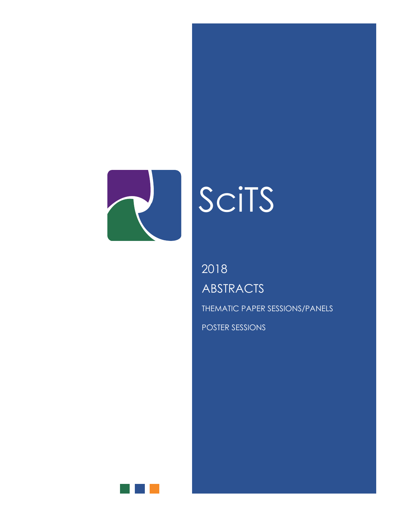

# SciTS

**ABSTRACTS** 2018

THEMATIC PAPER SESSIONS/PANELS

POSTER SESSIONS

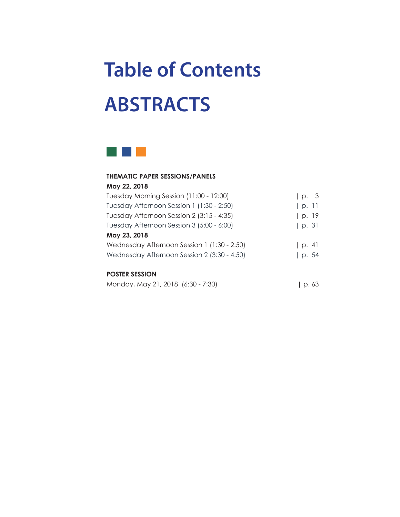## **Table of Contents ABSTRACTS**



#### **THEMATIC PAPER SESSIONS/PANELS**

| May 22, 2018                                |       |
|---------------------------------------------|-------|
| Tuesday Morning Session (11:00 - 12:00)     | p. 3  |
| Tuesday Afternoon Session 1 (1:30 - 2:50)   | p.11  |
| Tuesday Afternoon Session 2 (3:15 - 4:35)   | p. 19 |
| Tuesday Afternoon Session 3 (5:00 - 6:00)   | p.31  |
| May 23, 2018                                |       |
| Wednesday Afternoon Session 1 (1:30 - 2:50) | p. 4  |
| Wednesday Afternoon Session 2 (3:30 - 4:50) | p. 54 |

#### **POSTER SESSION**

| Monday, May 21, 2018 (6:30 - 7:30) |  | p.63 |
|------------------------------------|--|------|
|------------------------------------|--|------|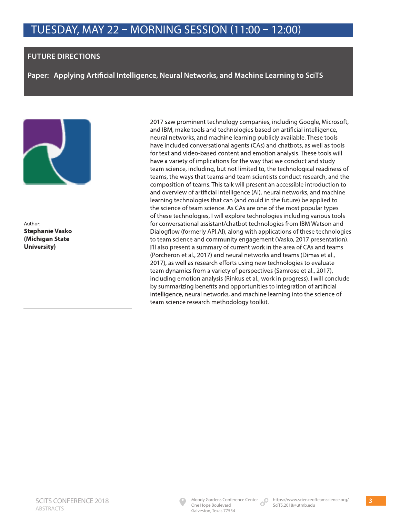#### **FUTURE DIRECTIONS**

**Paper: Applying Artificial Intelligence, Neural Networks, and Machine Learning to SciTS** 



Author: **Stephanie Vasko (Michigan State University)**

2017 saw prominent technology companies, including Google, Microsoft, and IBM, make tools and technologies based on artificial intelligence, neural networks, and machine learning publicly available. These tools have included conversational agents (CAs) and chatbots, as well as tools for text and video-based content and emotion analysis. These tools will have a variety of implications for the way that we conduct and study team science, including, but not limited to, the technological readiness of teams, the ways that teams and team scientists conduct research, and the composition of teams. This talk will present an accessible introduction to and overview of artificial intelligence (AI), neural networks, and machine learning technologies that can (and could in the future) be applied to the science of team science. As CAs are one of the most popular types of these technologies, I will explore technologies including various tools for conversational assistant/chatbot technologies from IBM Watson and Dialogflow (formerly API.AI), along with applications of these technologies to team science and community engagement (Vasko, 2017 presentation). I'll also present a summary of current work in the area of CAs and teams (Porcheron et al., 2017) and neural networks and teams (Dimas et al., 2017), as well as research efforts using new technologies to evaluate team dynamics from a variety of perspectives (Samrose et al., 2017), including emotion analysis (Rinkus et al., work in progress). I will conclude by summarizing benefits and opportunities to integration of artificial intelligence, neural networks, and machine learning into the science of team science research methodology toolkit.

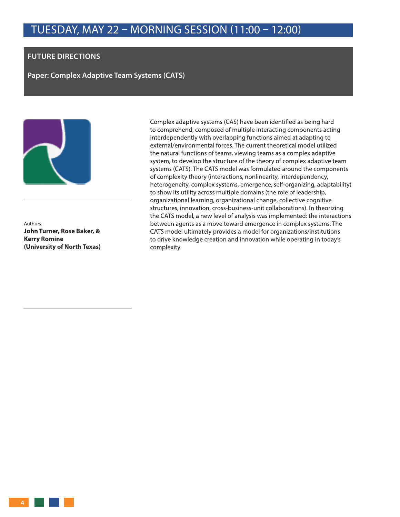#### **FUTURE DIRECTIONS**

**Paper: Complex Adaptive Team Systems (CATS)**



Authors: **John Turner, Rose Baker, & Kerry Romine (University of North Texas)**

Complex adaptive systems (CAS) have been identified as being hard to comprehend, composed of multiple interacting components acting interdependently with overlapping functions aimed at adapting to external/environmental forces. The current theoretical model utilized the natural functions of teams, viewing teams as a complex adaptive system, to develop the structure of the theory of complex adaptive team systems (CATS). The CATS model was formulated around the components of complexity theory (interactions, nonlinearity, interdependency, heterogeneity, complex systems, emergence, self-organizing, adaptability) to show its utility across multiple domains (the role of leadership, organizational learning, organizational change, collective cognitive structures, innovation, cross-business-unit collaborations). In theorizing the CATS model, a new level of analysis was implemented: the interactions between agents as a move toward emergence in complex systems. The CATS model ultimately provides a model for organizations/institutions to drive knowledge creation and innovation while operating in today's complexity.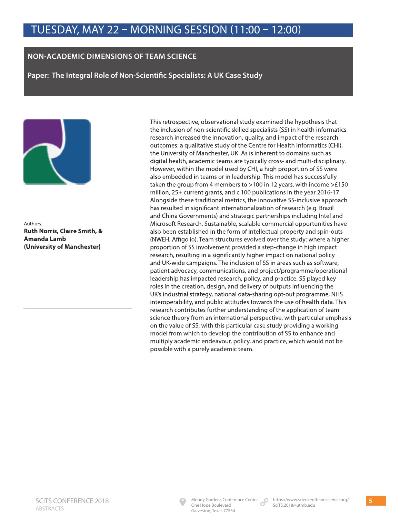#### **NON-ACADEMIC DIMENSIONS OF TEAM SCIENCE**

**Paper: The Integral Role of Non-Scientific Specialists: A UK Case Study** 



Authors: **Ruth Norris, Claire Smith, & Amanda Lamb (University of Manchester)**

This retrospective, observational study examined the hypothesis that the inclusion of non-scientific skilled specialists (SS) in health informatics research increased the innovation, quality, and impact of the research outcomes: a qualitative study of the Centre for Health Informatics (CHI), the University of Manchester, UK. As is inherent to domains such as digital health, academic teams are typically cross- and multi-disciplinary. However, within the model used by CHI, a high proportion of SS were also embedded in teams or in leadership. This model has successfully taken the group from 4 members to >100 in 12 years, with income >£150 million, 25+ current grants, and c.100 publications in the year 2016-17. Alongside these traditional metrics, the innovative SS-inclusive approach has resulted in significant internationalization of research (e.g. Brazil and China Governments) and strategic partnerships including Intel and Microsoft Research. Sustainable, scalable commercial opportunities have also been established in the form of intellectual property and spin-outs (NWEH; Affigo.io). Team structures evolved over the study: where a higher proportion of SS involvement provided a step-change in high impact research, resulting in a significantly higher impact on national policy and UK-wide campaigns. The inclusion of SS in areas such as software, patient advocacy, communications, and project/programme/operational leadership has impacted research, policy, and practice. SS played key roles in the creation, design, and delivery of outputs influencing the UK's industrial strategy, national data-sharing opt-out programme, NHS interoperability, and public attitudes towards the use of health data. This research contributes further understanding of the application of team science theory from an international perspective, with particular emphasis on the value of SS; with this particular case study providing a working model from which to develop the contribution of SS to enhance and multiply academic endeavour, policy, and practice, which would not be possible with a purely academic team.

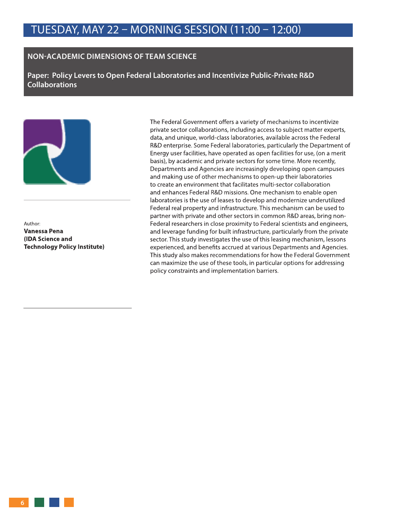#### **NON-ACADEMIC DIMENSIONS OF TEAM SCIENCE**

**Paper: Policy Levers to Open Federal Laboratories and Incentivize Public-Private R&D Collaborations** 



Author: **Vanessa Pena (IDA Science and Technology Policy Institute)** The Federal Government offers a variety of mechanisms to incentivize private sector collaborations, including access to subject matter experts, data, and unique, world-class laboratories, available across the Federal R&D enterprise. Some Federal laboratories, particularly the Department of Energy user facilities, have operated as open facilities for use, (on a merit basis), by academic and private sectors for some time. More recently, Departments and Agencies are increasingly developing open campuses and making use of other mechanisms to open-up their laboratories to create an environment that facilitates multi-sector collaboration and enhances Federal R&D missions. One mechanism to enable open laboratories is the use of leases to develop and modernize underutilized Federal real property and infrastructure. This mechanism can be used to partner with private and other sectors in common R&D areas, bring non-Federal researchers in close proximity to Federal scientists and engineers, and leverage funding for built infrastructure, particularly from the private sector. This study investigates the use of this leasing mechanism, lessons experienced, and benefits accrued at various Departments and Agencies. This study also makes recommendations for how the Federal Government can maximize the use of these tools, in particular options for addressing policy constraints and implementation barriers.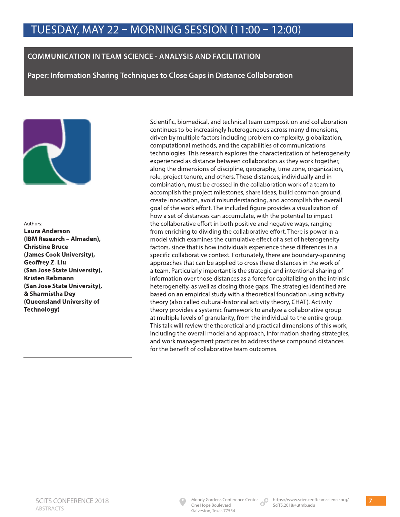#### **COMMUNICATION IN TEAM SCIENCE - ANALYSIS AND FACILITATION**

**Paper: Information Sharing Techniques to Close Gaps in Distance Collaboration** 



#### Authors:

**Laura Anderson (IBM Research – Almaden), Christine Bruce (James Cook University), Geoffrey Z. Liu (San Jose State University), Kristen Rebmann (San Jose State University), & Sharmistha Dey (Queensland University of Technology)**

Scientific, biomedical, and technical team composition and collaboration continues to be increasingly heterogeneous across many dimensions, driven by multiple factors including problem complexity, globalization, computational methods, and the capabilities of communications technologies. This research explores the characterization of heterogeneity experienced as distance between collaborators as they work together, along the dimensions of discipline, geography, time zone, organization, role, project tenure, and others. These distances, individually and in combination, must be crossed in the collaboration work of a team to accomplish the project milestones, share ideas, build common ground, create innovation, avoid misunderstanding, and accomplish the overall goal of the work effort. The included figure provides a visualization of how a set of distances can accumulate, with the potential to impact the collaborative effort in both positive and negative ways, ranging from enriching to dividing the collaborative effort. There is power in a model which examines the cumulative effect of a set of heterogeneity factors, since that is how individuals experience these differences in a specific collaborative context. Fortunately, there are boundary-spanning approaches that can be applied to cross these distances in the work of a team. Particularly important is the strategic and intentional sharing of information over those distances as a force for capitalizing on the intrinsic heterogeneity, as well as closing those gaps. The strategies identified are based on an empirical study with a theoretical foundation using activity theory (also called cultural-historical activity theory, CHAT). Activity theory provides a systemic framework to analyze a collaborative group at multiple levels of granularity, from the individual to the entire group. This talk will review the theoretical and practical dimensions of this work, including the overall model and approach, information sharing strategies, and work management practices to address these compound distances for the benefit of collaborative team outcomes.

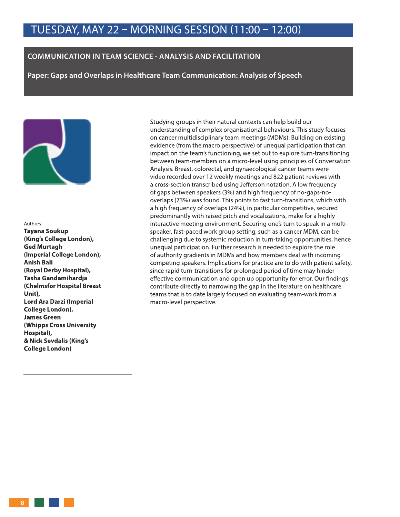#### **COMMUNICATION IN TEAM SCIENCE - ANALYSIS AND FACILITATION**

**Paper: Gaps and Overlaps in Healthcare Team Communication: Analysis of Speech** 



#### Authors:

**Tayana Soukup (King's College London), Ged Murtagh (Imperial College London), Anish Bali (Royal Derby Hospital), Tasha Gandamihardja (Chelmsfor Hospital Breast Unit), Lord Ara Darzi (Imperial College London), James Green (Whipps Cross University Hospital), & Nick Sevdalis (King's College London)**

Studying groups in their natural contexts can help build our understanding of complex organisational behaviours. This study focuses on cancer multidisciplinary team meetings (MDMs). Building on existing evidence (from the macro perspective) of unequal participation that can impact on the team's functioning, we set out to explore turn-transitioning between team-members on a micro-level using principles of Conversation Analysis. Breast, colorectal, and gynaecological cancer teams were video recorded over 12 weekly meetings and 822 patient-reviews with a cross-section transcribed using Jefferson notation. A low frequency of gaps between speakers (3%) and high frequency of no-gaps-nooverlaps (73%) was found. This points to fast turn-transitions, which with a high frequency of overlaps (24%), in particular competitive, secured predominantly with raised pitch and vocalizations, make for a highly interactive meeting environment. Securing one's turn to speak in a multispeaker, fast-paced work group setting, such as a cancer MDM, can be challenging due to systemic reduction in turn-taking opportunities, hence unequal participation. Further research is needed to explore the role of authority gradients in MDMs and how members deal with incoming competing speakers. Implications for practice are to do with patient safety, since rapid turn-transitions for prolonged period of time may hinder effective communication and open up opportunity for error. Our findings contribute directly to narrowing the gap in the literature on healthcare teams that is to date largely focused on evaluating team-work from a macro-level perspective.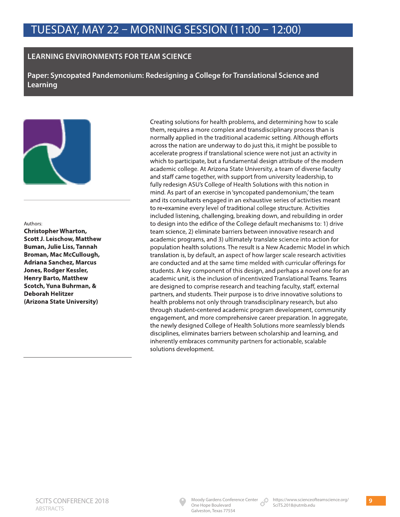#### **LEARNING ENVIRONMENTS FOR TEAM SCIENCE**

**Paper: Syncopated Pandemonium: Redesigning a College for Translational Science and Learning** 



#### Authors:

**Christopher Wharton, Scott J. Leischow, Matthew Buman, Julie Liss, Tannah Broman, Mac McCullough, Adriana Sanchez, Marcus Jones, Rodger Kessler, Henry Barto, Matthew Scotch, Yuna Buhrman, & Deborah Helitzer (Arizona State University)**

Creating solutions for health problems, and determining how to scale them, requires a more complex and transdisciplinary process than is normally applied in the traditional academic setting. Although efforts across the nation are underway to do just this, it might be possible to accelerate progress if translational science were not just an activity in which to participate, but a fundamental design attribute of the modern academic college. At Arizona State University, a team of diverse faculty and staff came together, with support from university leadership, to fully redesign ASU's College of Health Solutions with this notion in mind. As part of an exercise in 'syncopated pandemonium,' the team and its consultants engaged in an exhaustive series of activities meant to re-examine every level of traditional college structure. Activities included listening, challenging, breaking down, and rebuilding in order to design into the edifice of the College default mechanisms to: 1) drive team science, 2) eliminate barriers between innovative research and academic programs, and 3) ultimately translate science into action for population health solutions. The result is a New Academic Model in which translation is, by default, an aspect of how larger scale research activities are conducted and at the same time melded with curricular offerings for students. A key component of this design, and perhaps a novel one for an academic unit, is the inclusion of incentivized Translational Teams. Teams are designed to comprise research and teaching faculty, staff, external partners, and students. Their purpose is to drive innovative solutions to health problems not only through transdisciplinary research, but also through student-centered academic program development, community engagement, and more comprehensive career preparation. In aggregate, the newly designed College of Health Solutions more seamlessly blends disciplines, eliminates barriers between scholarship and learning, and inherently embraces community partners for actionable, scalable solutions development.

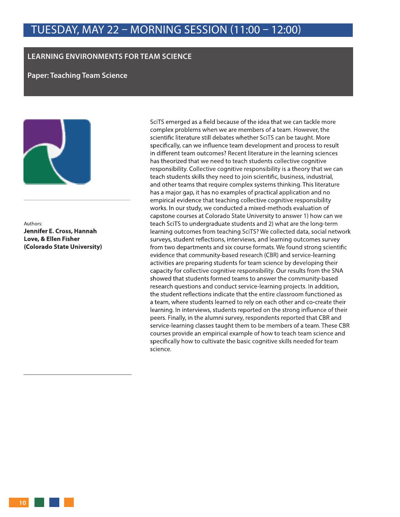#### **LEARNING ENVIRONMENTS FOR TEAM SCIENCE**

**Paper: Teaching Team Science** 



Authors: **Jennifer E. Cross, Hannah Love, & Ellen Fisher (Colorado State University)**

SciTS emerged as a field because of the idea that we can tackle more complex problems when we are members of a team. However, the scientific literature still debates whether SciTS can be taught. More specifically, can we influence team development and process to result in different team outcomes? Recent literature in the learning sciences has theorized that we need to teach students collective cognitive responsibility. Collective cognitive responsibility is a theory that we can teach students skills they need to join scientific, business, industrial, and other teams that require complex systems thinking. This literature has a major gap, it has no examples of practical application and no empirical evidence that teaching collective cognitive responsibility works. In our study, we conducted a mixed-methods evaluation of capstone courses at Colorado State University to answer 1) how can we teach SciTS to undergraduate students and 2) what are the long-term learning outcomes from teaching SciTS? We collected data, social network surveys, student reflections, interviews, and learning outcomes survey from two departments and six course formats. We found strong scientific evidence that community-based research (CBR) and service-learning activities are preparing students for team science by developing their capacity for collective cognitive responsibility. Our results from the SNA showed that students formed teams to answer the community-based research questions and conduct service-learning projects. In addition, the student reflections indicate that the entire classroom functioned as a team, where students learned to rely on each other and co-create their learning. In interviews, students reported on the strong influence of their peers. Finally, in the alumni survey, respondents reported that CBR and service-learning classes taught them to be members of a team. These CBR courses provide an empirical example of how to teach team science and specifically how to cultivate the basic cognitive skills needed for team science.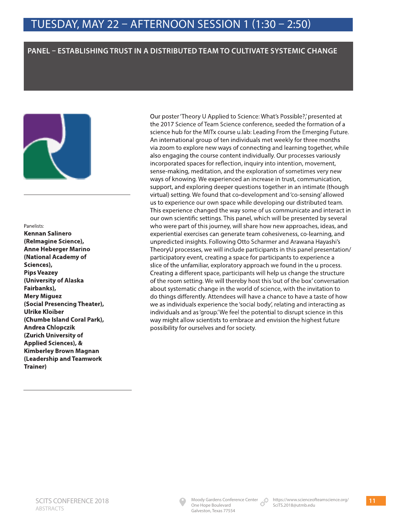#### **PANEL – ESTABLISHING TRUST IN A DISTRIBUTED TEAM TO CULTIVATE SYSTEMIC CHANGE**



#### Panelists:

**Kennan Salinero (ReImagine Science), Anne Heberger Marino (National Academy of Sciences), Pips Veazey (University of Alaska Fairbanks), Mery Miguez (Social Presencing Theater), Ulrike Kloiber (Chumbe Island Coral Park), Andrea Chlopczik (Zurich University of Applied Sciences), & Kimberley Brown Magnan (Leadership and Teamwork Trainer)**

Our poster 'Theory U Applied to Science: What's Possible?,' presented at the 2017 Science of Team Science conference, seeded the formation of a science hub for the MITx course u.lab: Leading From the Emerging Future. An international group of ten individuals met weekly for three months via zoom to explore new ways of connecting and learning together, while also engaging the course content individually. Our processes variously incorporated spaces for reflection, inquiry into intention, movement, sense-making, meditation, and the exploration of sometimes very new ways of knowing. We experienced an increase in trust, communication, support, and exploring deeper questions together in an intimate (though virtual) setting. We found that co-development and 'co-sensing' allowed us to experience our own space while developing our distributed team. This experience changed the way some of us communicate and interact in our own scientific settings. This panel, which will be presented by several who were part of this journey, will share how new approaches, ideas, and experiential exercises can generate team cohesiveness, co-learning, and unpredicted insights. Following Otto Scharmer and Arawana Hayashi's TheoryU processes, we will include participants in this panel presentation/ participatory event, creating a space for participants to experience a slice of the unfamiliar, exploratory approach we found in the u process. Creating a different space, participants will help us change the structure of the room setting. We will thereby host this 'out of the box' conversation about systematic change in the world of science, with the invitation to do things differently. Attendees will have a chance to have a taste of how we as individuals experience the 'social body', relating and interacting as individuals and as 'group.' We feel the potential to disrupt science in this way might allow scientists to embrace and envision the highest future possibility for ourselves and for society.

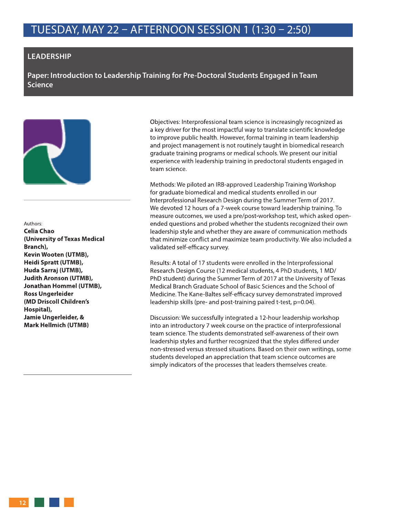#### **LEADERSHIP**

**Paper: Introduction to Leadership Training for Pre-Doctoral Students Engaged in Team Science** 



#### Authors:

**Celia Chao (University of Texas Medical Branch), Kevin Wooten (UTMB), Heidi Spratt (UTMB), Huda Sarraj (UTMB), Judith Aronson (UTMB), Jonathan Hommel (UTMB), Ross Ungerleider (MD Driscoll Children's Hospital), Jamie Ungerleider, & Mark Hellmich (UTMB)**

Objectives: Interprofessional team science is increasingly recognized as a key driver for the most impactful way to translate scientific knowledge to improve public health. However, formal training in team leadership and project management is not routinely taught in biomedical research graduate training programs or medical schools. We present our initial experience with leadership training in predoctoral students engaged in team science.

Methods: We piloted an IRB-approved Leadership Training Workshop for graduate biomedical and medical students enrolled in our Interprofessional Research Design during the Summer Term of 2017. We devoted 12 hours of a 7-week course toward leadership training. To measure outcomes, we used a pre/post-workshop test, which asked openended questions and probed whether the students recognized their own leadership style and whether they are aware of communication methods that minimize conflict and maximize team productivity. We also included a validated self-efficacy survey.

Results: A total of 17 students were enrolled in the Interprofessional Research Design Course (12 medical students, 4 PhD students, 1 MD/ PhD student) during the Summer Term of 2017 at the University of Texas Medical Branch Graduate School of Basic Sciences and the School of Medicine. The Kane-Baltes self-efficacy survey demonstrated improved leadership skills (pre- and post-training paired t-test, p=0.04).

Discussion: We successfully integrated a 12-hour leadership workshop into an introductory 7 week course on the practice of interprofessional team science. The students demonstrated self-awareness of their own leadership styles and further recognized that the styles differed under non-stressed versus stressed situations. Based on their own writings, some students developed an appreciation that team science outcomes are simply indicators of the processes that leaders themselves create.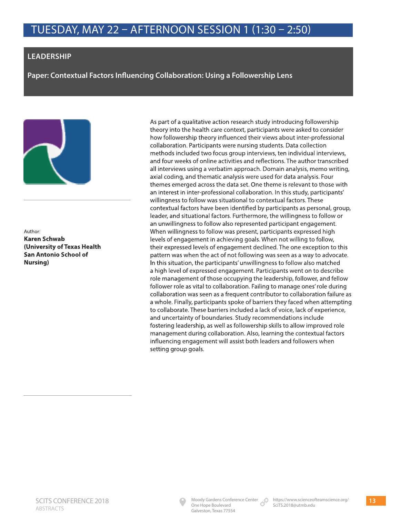#### **LEADERSHIP**

**Paper: Contextual Factors Influencing Collaboration: Using a Followership Lens** 



Author: **Karen Schwab (University of Texas Health San Antonio School of Nursing)**

As part of a qualitative action research study introducing followership theory into the health care context, participants were asked to consider how followership theory influenced their views about inter-professional collaboration. Participants were nursing students. Data collection methods included two focus group interviews, ten individual interviews, and four weeks of online activities and reflections. The author transcribed all interviews using a verbatim approach. Domain analysis, memo writing, axial coding, and thematic analysis were used for data analysis. Four themes emerged across the data set. One theme is relevant to those with an interest in inter-professional collaboration. In this study, participants' willingness to follow was situational to contextual factors. These contextual factors have been identified by participants as personal, group, leader, and situational factors. Furthermore, the willingness to follow or an unwillingness to follow also represented participant engagement. When willingness to follow was present, participants expressed high levels of engagement in achieving goals. When not willing to follow, their expressed levels of engagement declined. The one exception to this pattern was when the act of not following was seen as a way to advocate. In this situation, the participants' unwillingness to follow also matched a high level of expressed engagement. Participants went on to describe role management of those occupying the leadership, follower, and fellow follower role as vital to collaboration. Failing to manage ones' role during collaboration was seen as a frequent contributor to collaboration failure as a whole. Finally, participants spoke of barriers they faced when attempting to collaborate. These barriers included a lack of voice, lack of experience, and uncertainty of boundaries. Study recommendations include fostering leadership, as well as followership skills to allow improved role management during collaboration. Also, learning the contextual factors influencing engagement will assist both leaders and followers when setting group goals.

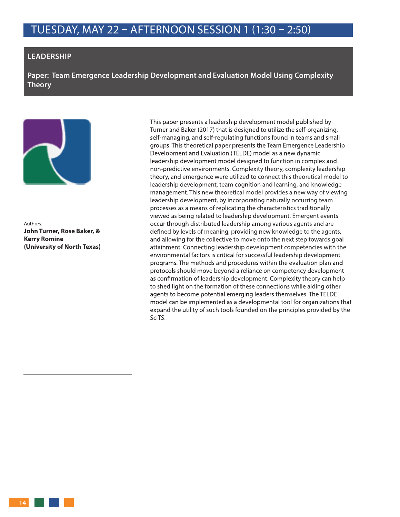#### **LEADERSHIP**

**Paper: Team Emergence Leadership Development and Evaluation Model Using Complexity Theory** 



Authors: **John Turner, Rose Baker, & Kerry Romine (University of North Texas)** This paper presents a leadership development model published by Turner and Baker (2017) that is designed to utilize the self-organizing, self-managing, and self-regulating functions found in teams and small groups. This theoretical paper presents the Team Emergence Leadership Development and Evaluation (TELDE) model as a new dynamic leadership development model designed to function in complex and non-predictive environments. Complexity theory, complexity leadership theory, and emergence were utilized to connect this theoretical model to leadership development, team cognition and learning, and knowledge management. This new theoretical model provides a new way of viewing leadership development, by incorporating naturally occurring team processes as a means of replicating the characteristics traditionally viewed as being related to leadership development. Emergent events occur through distributed leadership among various agents and are defined by levels of meaning, providing new knowledge to the agents, and allowing for the collective to move onto the next step towards goal attainment. Connecting leadership development competencies with the environmental factors is critical for successful leadership development programs. The methods and procedures within the evaluation plan and protocols should move beyond a reliance on competency development as confirmation of leadership development. Complexity theory can help to shed light on the formation of these connections while aiding other agents to become potential emerging leaders themselves. The TELDE model can be implemented as a developmental tool for organizations that expand the utility of such tools founded on the principles provided by the SciTS.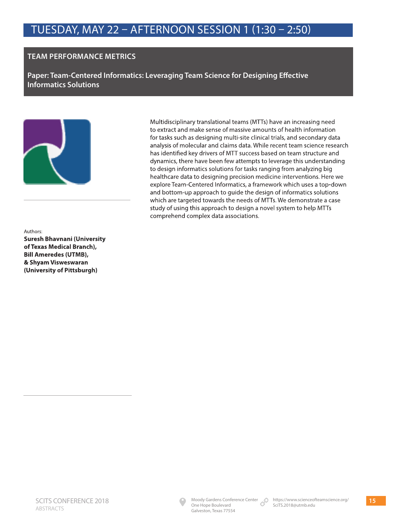#### **TEAM PERFORMANCE METRICS**

**Paper: Team-Centered Informatics: Leveraging Team Science for Designing Effective Informatics Solutions** 



Multidisciplinary translational teams (MTTs) have an increasing need to extract and make sense of massive amounts of health information for tasks such as designing multi-site clinical trials, and secondary data analysis of molecular and claims data. While recent team science research has identified key drivers of MTT success based on team structure and dynamics, there have been few attempts to leverage this understanding to design informatics solutions for tasks ranging from analyzing big healthcare data to designing precision medicine interventions. Here we explore Team-Centered Informatics, a framework which uses a top-down and bottom-up approach to guide the design of informatics solutions which are targeted towards the needs of MTTs. We demonstrate a case study of using this approach to design a novel system to help MTTs comprehend complex data associations.

Authors: **Suresh Bhavnani (University of Texas Medical Branch), Bill Ameredes (UTMB), & Shyam Visweswaran (University of Pittsburgh)**

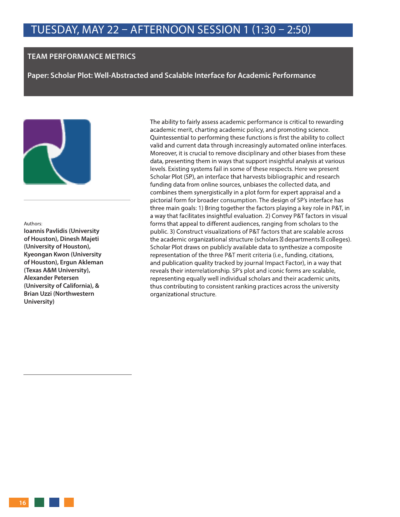#### **TEAM PERFORMANCE METRICS**

**Paper: Scholar Plot: Well-Abstracted and Scalable Interface for Academic Performance** 



#### Authors:

**Ioannis Pavlidis (University of Houston), Dinesh Majeti (University of Houston), Kyeongan Kwon (University of Houston), Ergun Akleman (Texas A&M University), Alexander Petersen (University of California), & Brian Uzzi (Northwestern University)**

The ability to fairly assess academic performance is critical to rewarding academic merit, charting academic policy, and promoting science. Quintessential to performing these functions is first the ability to collect valid and current data through increasingly automated online interfaces. Moreover, it is crucial to remove disciplinary and other biases from these data, presenting them in ways that support insightful analysis at various levels. Existing systems fail in some of these respects. Here we present Scholar Plot (SP), an interface that harvests bibliographic and research funding data from online sources, unbiases the collected data, and combines them synergistically in a plot form for expert appraisal and a pictorial form for broader consumption. The design of SP's interface has three main goals: 1) Bring together the factors playing a key role in P&T, in a way that facilitates insightful evaluation. 2) Convey P&T factors in visual forms that appeal to different audiences, ranging from scholars to the public. 3) Construct visualizations of P&T factors that are scalable across the academic organizational structure (scholars departments colleges). Scholar Plot draws on publicly available data to synthesize a composite representation of the three P&T merit criteria (i.e., funding, citations, and publication quality tracked by journal Impact Factor), in a way that reveals their interrelationship. SP's plot and iconic forms are scalable, representing equally well individual scholars and their academic units, thus contributing to consistent ranking practices across the university organizational structure.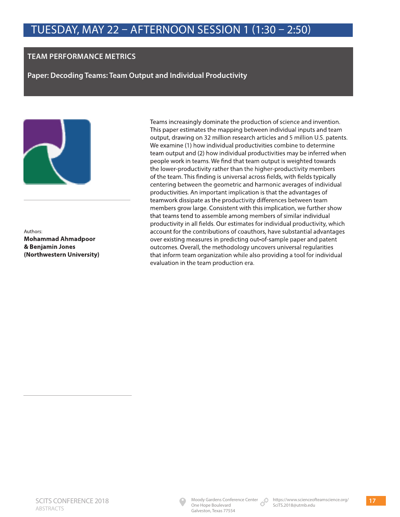#### **TEAM PERFORMANCE METRICS**

**Paper: Decoding Teams: Team Output and Individual Productivity** 



Authors: **Mohammad Ahmadpoor & Benjamin Jones (Northwestern University)** Teams increasingly dominate the production of science and invention. This paper estimates the mapping between individual inputs and team output, drawing on 32 million research articles and 5 million U.S. patents. We examine (1) how individual productivities combine to determine team output and (2) how individual productivities may be inferred when people work in teams. We find that team output is weighted towards the lower-productivity rather than the higher-productivity members of the team. This finding is universal across fields, with fields typically centering between the geometric and harmonic averages of individual productivities. An important implication is that the advantages of teamwork dissipate as the productivity differences between team members grow large. Consistent with this implication, we further show that teams tend to assemble among members of similar individual productivity in all fields. Our estimates for individual productivity, which account for the contributions of coauthors, have substantial advantages over existing measures in predicting out-of-sample paper and patent outcomes. Overall, the methodology uncovers universal regularities that inform team organization while also providing a tool for individual evaluation in the team production era.

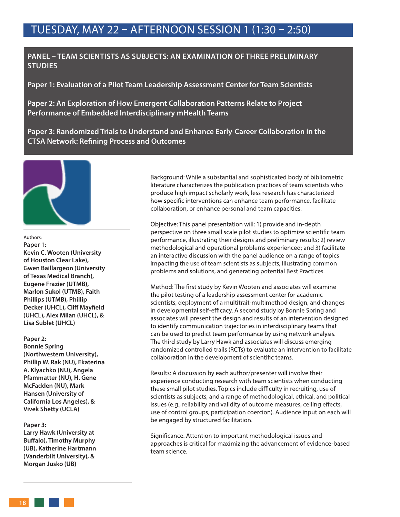#### **PANEL – TEAM SCIENTISTS AS SUBJECTS: AN EXAMINATION OF THREE PRELIMINARY STUDIES**

**Paper 1: Evaluation of a Pilot Team Leadership Assessment Center for Team Scientists** 

**Paper 2: An Exploration of How Emergent Collaboration Patterns Relate to Project Performance of Embedded Interdisciplinary mHealth Teams** 

**Paper 3: Randomized Trials to Understand and Enhance Early-Career Collaboration in the CTSA Network: Refining Process and Outcomes**



#### Authors:

**Paper 1: Kevin C. Wooten (University of Houston Clear Lake), Gwen Baillargeon (University of Texas Medical Branch), Eugene Frazier (UTMB), Marlon Sukol (UTMB), Faith Phillips (UTMB), Phillip Decker (UHCL), Cliff Mayfield (UHCL), Alex Milan (UHCL), & Lisa Sublet (UHCL)**

#### **Paper 2:**

**Bonnie Spring (Northwestern University), Phillip W. Rak (NU), Ekaterina A. Klyachko (NU), Angela Pfammatter (NU), H. Gene McFadden (NU), Mark Hansen (University of California Los Angeles), & Vivek Shetty (UCLA)**

#### **Paper 3:**

**Larry Hawk (University at Buffalo), Timothy Murphy (UB), Katherine Hartmann (Vanderbilt University), & Morgan Jusko (UB)**

Background: While a substantial and sophisticated body of bibliometric literature characterizes the publication practices of team scientists who produce high impact scholarly work, less research has characterized how specific interventions can enhance team performance, facilitate collaboration, or enhance personal and team capacities.

Objective: This panel presentation will: 1) provide and in-depth perspective on three small scale pilot studies to optimize scientific team performance, illustrating their designs and preliminary results; 2) review methodological and operational problems experienced; and 3) facilitate an interactive discussion with the panel audience on a range of topics impacting the use of team scientists as subjects, illustrating common problems and solutions, and generating potential Best Practices.

Method: The first study by Kevin Wooten and associates will examine the pilot testing of a leadership assessment center for academic scientists, deployment of a multitrait-multimethod design, and changes in developmental self-efficacy. A second study by Bonnie Spring and associates will present the design and results of an intervention designed to identify communication trajectories in interdisciplinary teams that can be used to predict team performance by using network analysis. The third study by Larry Hawk and associates will discuss emerging randomized controlled trails (RCTs) to evaluate an intervention to facilitate collaboration in the development of scientific teams.

Results: A discussion by each author/presenter will involve their experience conducting research with team scientists when conducting these small pilot studies. Topics include difficulty in recruiting, use of scientists as subjects, and a range of methodological, ethical, and political issues (e.g., reliability and validity of outcome measures, ceiling effects, use of control groups, participation coercion). Audience input on each will be engaged by structured facilitation.

Significance: Attention to important methodological issues and approaches is critical for maximizing the advancement of evidence-based team science.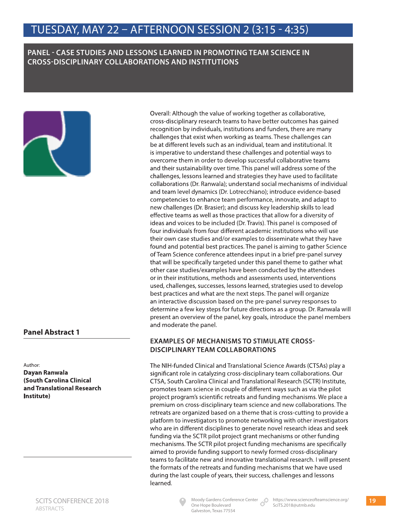#### **PANEL - CASE STUDIES AND LESSONS LEARNED IN PROMOTING TEAM SCIENCE IN CROSS-DISCIPLINARY COLLABORATIONS AND INSTITUTIONS**



#### **Panel Abstract 1**

Author:

**Dayan Ranwala (South Carolina Clinical and Translational Research Institute)**

Overall: Although the value of working together as collaborative, cross-disciplinary research teams to have better outcomes has gained recognition by individuals, institutions and funders, there are many challenges that exist when working as teams. These challenges can be at different levels such as an individual, team and institutional. It is imperative to understand these challenges and potential ways to overcome them in order to develop successful collaborative teams and their sustainability over time. This panel will address some of the challenges, lessons learned and strategies they have used to facilitate collaborations (Dr. Ranwala); understand social mechanisms of individual and team level dynamics (Dr. Lotrecchiano); introduce evidence-based competencies to enhance team performance, innovate, and adapt to new challenges (Dr. Brasier); and discuss key leadership skills to lead effective teams as well as those practices that allow for a diversity of ideas and voices to be included (Dr. Travis). This panel is composed of four individuals from four different academic institutions who will use their own case studies and/or examples to disseminate what they have found and potential best practices. The panel is aiming to gather Science of Team Science conference attendees input in a brief pre-panel survey that will be specifically targeted under this panel theme to gather what other case studies/examples have been conducted by the attendees or in their institutions, methods and assessments used, interventions used, challenges, successes, lessons learned, strategies used to develop best practices and what are the next steps. The panel will organize an interactive discussion based on the pre-panel survey responses to determine a few key steps for future directions as a group. Dr. Ranwala will present an overview of the panel, key goals, introduce the panel members and moderate the panel.

#### **EXAMPLES OF MECHANISMS TO STIMULATE CROSS-DISCIPLINARY TEAM COLLABORATIONS**

The NIH-funded Clinical and Translational Science Awards (CTSAs) play a significant role in catalyzing cross-disciplinary team collaborations. Our CTSA, South Carolina Clinical and Translational Research (SCTR) Institute, promotes team science in couple of different ways such as via the pilot project program's scientific retreats and funding mechanisms. We place a premium on cross-disciplinary team science and new collaborations. The retreats are organized based on a theme that is cross-cutting to provide a platform to investigators to promote networking with other investigators who are in different disciplines to generate novel research ideas and seek funding via the SCTR pilot project grant mechanisms or other funding mechanisms. The SCTR pilot project funding mechanisms are specifically aimed to provide funding support to newly formed cross-disciplinary teams to facilitate new and innovative translational research. I will present the formats of the retreats and funding mechanisms that we have used during the last couple of years, their success, challenges and lessons learned.



One Hope Boulevard Galveston, Texas 77554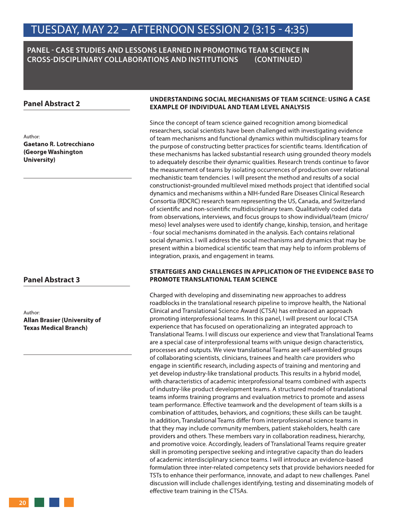#### **PANEL - CASE STUDIES AND LESSONS LEARNED IN PROMOTING TEAM SCIENCE IN CROSS-DISCIPLINARY COLLABORATIONS AND INSTITUTIONS (CONTINUED)**

#### **Panel Abstract 2**

Author: **Gaetano R. Lotrecchiano (George Washington University)**

#### **Panel Abstract 3**

Author: **Allan Brasier (University of Texas Medical Branch)**

#### **UNDERSTANDING SOCIAL MECHANISMS OF TEAM SCIENCE: USING A CASE EXAMPLE OF INDIVIDUAL AND TEAM LEVEL ANALYSIS**

Since the concept of team science gained recognition among biomedical researchers, social scientists have been challenged with investigating evidence of team mechanisms and functional dynamics within multidisciplinary teams for the purpose of constructing better practices for scientific teams. Identification of these mechanisms has lacked substantial research using grounded theory models to adequately describe their dynamic qualities. Research trends continue to favor the measurement of teams by isolating occurrences of production over relational mechanistic team tendencies. I will present the method and results of a social constructionist-grounded multilevel mixed methods project that identified social dynamics and mechanisms within a NIH-funded Rare Diseases Clinical Research Consortia (RDCRC) research team representing the US, Canada, and Switzerland of scientific and non-scientific multidisciplinary team. Qualitatively coded data from observations, interviews, and focus groups to show individual/team (micro/ meso) level analyses were used to identify change, kinship, tension, and heritage - four social mechanisms dominated in the analysis. Each contains relational social dynamics. I will address the social mechanisms and dynamics that may be present within a biomedical scientific team that may help to inform problems of integration, praxis, and engagement in teams.

#### **STRATEGIES AND CHALLENGES IN APPLICATION OF THE EVIDENCE BASE TO PROMOTE TRANSLATIONAL TEAM SCIENCE**

Charged with developing and disseminating new approaches to address roadblocks in the translational research pipeline to improve health, the National Clinical and Translational Science Award (CTSA) has embraced an approach promoting interprofessional teams. In this panel, I will present our local CTSA experience that has focused on operationalizing an integrated approach to Translational Teams. I will discuss our experience and view that Translational Teams are a special case of interprofessional teams with unique design characteristics, processes and outputs. We view translational Teams are self-assembled groups of collaborating scientists, clinicians, trainees and health care providers who engage in scientific research, including aspects of training and mentoring and yet develop industry-like translational products. This results in a hybrid model, with characteristics of academic interprofessional teams combined with aspects of industry-like product development teams. A structured model of translational teams informs training programs and evaluation metrics to promote and assess team performance. Effective teamwork and the development of team skills is a combination of attitudes, behaviors, and cognitions; these skills can be taught. In addition, Translational Teams differ from interprofessional science teams in that they may include community members, patient stakeholders, health care providers and others. These members vary in collaboration readiness, hierarchy, and promotive voice. Accordingly, leaders of Translational Teams require greater skill in promoting perspective seeking and integrative capacity than do leaders of academic interdisciplinary science teams. I will introduce an evidence-based formulation three inter-related competency sets that provide behaviors needed for TSTs to enhance their performance, innovate, and adapt to new challenges. Panel discussion will include challenges identifying, testing and disseminating models of effective team training in the CTSAs.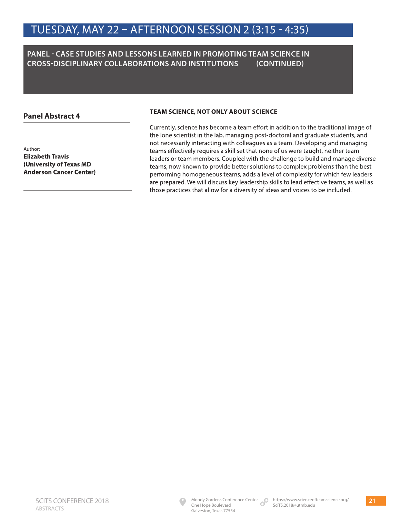#### **PANEL - CASE STUDIES AND LESSONS LEARNED IN PROMOTING TEAM SCIENCE IN CROSS-DISCIPLINARY COLLABORATIONS AND INSTITUTIONS (CONTINUED)**

#### **Panel Abstract 4**

Author: **Elizabeth Travis (University of Texas MD Anderson Cancer Center)**

#### **TEAM SCIENCE, NOT ONLY ABOUT SCIENCE**

Currently, science has become a team effort in addition to the traditional image of the lone scientist in the lab, managing post-doctoral and graduate students, and not necessarily interacting with colleagues as a team. Developing and managing teams effectively requires a skill set that none of us were taught, neither team leaders or team members. Coupled with the challenge to build and manage diverse teams, now known to provide better solutions to complex problems than the best performing homogeneous teams, adds a level of complexity for which few leaders are prepared. We will discuss key leadership skills to lead effective teams, as well as those practices that allow for a diversity of ideas and voices to be included.

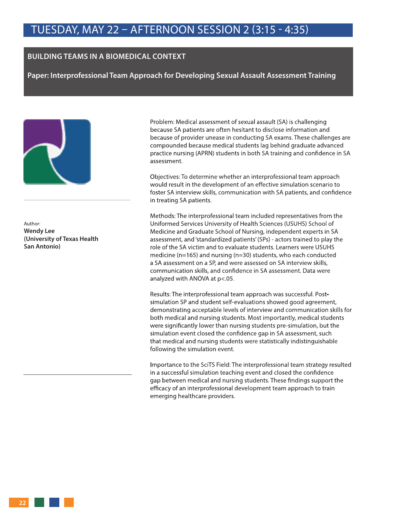#### **BUILDING TEAMS IN A BIOMEDICAL CONTEXT**

**Paper: Interprofessional Team Approach for Developing Sexual Assault Assessment Training** 



Author: **Wendy Lee (University of Texas Health San Antonio)**

Problem: Medical assessment of sexual assault (SA) is challenging because SA patients are often hesitant to disclose information and because of provider unease in conducting SA exams. These challenges are compounded because medical students lag behind graduate advanced practice nursing (APRN) students in both SA training and confidence in SA assessment.

Objectives: To determine whether an interprofessional team approach would result in the development of an effective simulation scenario to foster SA interview skills, communication with SA patients, and confidence in treating SA patients.

Methods: The interprofessional team included representatives from the Uniformed Services University of Health Sciences (USUHS) School of Medicine and Graduate School of Nursing, independent experts in SA assessment, and 'standardized patients' (SPs) - actors trained to play the role of the SA victim and to evaluate students. Learners were USUHS medicine (n=165) and nursing (n=30) students, who each conducted a SA assessment on a SP, and were assessed on SA interview skills, communication skills, and confidence in SA assessment. Data were analyzed with ANOVA at p<.05.

Results: The interprofessional team approach was successful. Postsimulation SP and student self-evaluations showed good agreement, demonstrating acceptable levels of interview and communication skills for both medical and nursing students. Most importantly, medical students were significantly lower than nursing students pre-simulation, but the simulation event closed the confidence gap in SA assessment, such that medical and nursing students were statistically indistinguishable following the simulation event.

Importance to the SciTS Field: The interprofessional team strategy resulted in a successful simulation teaching event and closed the confidence gap between medical and nursing students. These findings support the efficacy of an interprofessional development team approach to train emerging healthcare providers.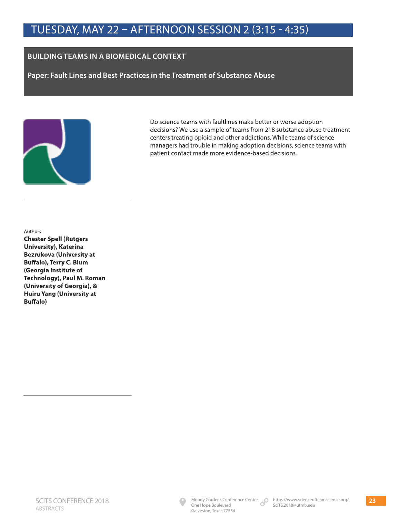#### **BUILDING TEAMS IN A BIOMEDICAL CONTEXT**

**Paper: Fault Lines and Best Practices in the Treatment of Substance Abuse** 



Do science teams with faultlines make better or worse adoption decisions? We use a sample of teams from 218 substance abuse treatment centers treating opioid and other addictions. While teams of science managers had trouble in making adoption decisions, science teams with patient contact made more evidence-based decisions.

Authors:

**Chester Spell (Rutgers University), Katerina Bezrukova (University at Buffalo), Terry C. Blum (Georgia Institute of Technology), Paul M. Roman (University of Georgia), & Huiru Yang (University at Buffalo)**

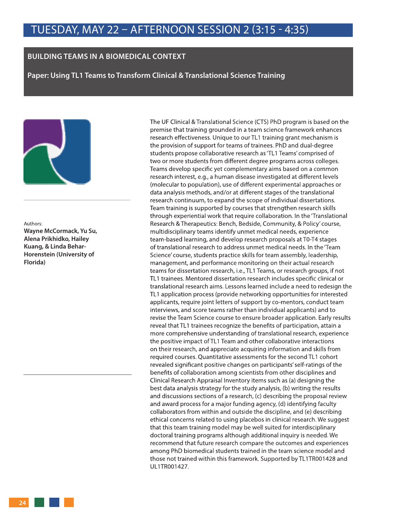#### **BUILDING TEAMS IN A BIOMEDICAL CONTEXT**

**Paper: Using TL1 Teams to Transform Clinical & Translational Science Training** 



#### Authors:

**Wayne McCormack, Yu Su, Alena Prikhidko, Hailey Kuang, & Linda Behar-Horenstein (University of Florida)**

The UF Clinical & Translational Science (CTS) PhD program is based on the premise that training grounded in a team science framework enhances research effectiveness. Unique to our TL1 training grant mechanism is the provision of support for teams of trainees. PhD and dual-degree students propose collaborative research as 'TL1 Teams' comprised of two or more students from different degree programs across colleges. Teams develop specific yet complementary aims based on a common research interest, e.g., a human disease investigated at different levels (molecular to population), use of different experimental approaches or data analysis methods, and/or at different stages of the translational research continuum, to expand the scope of individual dissertations. Team training is supported by courses that strengthen research skills through experiential work that require collaboration. In the 'Translational Research & Therapeutics: Bench, Bedside, Community, & Policy' course, multidisciplinary teams identify unmet medical needs, experience team-based learning, and develop research proposals at T0-T4 stages of translational research to address unmet medical needs. In the 'Team Science' course, students practice skills for team assembly, leadership, management, and performance monitoring on their actual research teams for dissertation research, i.e., TL1 Teams, or research groups, if not TL1 trainees. Mentored dissertation research includes specific clinical or translational research aims. Lessons learned include a need to redesign the TL1 application process (provide networking opportunities for interested applicants, require joint letters of support by co-mentors, conduct team interviews, and score teams rather than individual applicants) and to revise the Team Science course to ensure broader application. Early results reveal that TL1 trainees recognize the benefits of participation, attain a more comprehensive understanding of translational research, experience the positive impact of TL1 Team and other collaborative interactions on their research, and appreciate acquiring information and skills from required courses. Quantitative assessments for the second TL1 cohort revealed significant positive changes on participants' self-ratings of the benefits of collaboration among scientists from other disciplines and Clinical Research Appraisal Inventory items such as (a) designing the best data analysis strategy for the study analysis, (b) writing the results and discussions sections of a research, (c) describing the proposal review and award process for a major funding agency, (d) identifying faculty collaborators from within and outside the discipline, and (e) describing ethical concerns related to using placebos in clinical research. We suggest that this team training model may be well suited for interdisciplinary doctoral training programs although additional inquiry is needed. We recommend that future research compare the outcomes and experiences among PhD biomedical students trained in the team science model and those not trained within this framework. Supported by TL1TR001428 and UL1TR001427.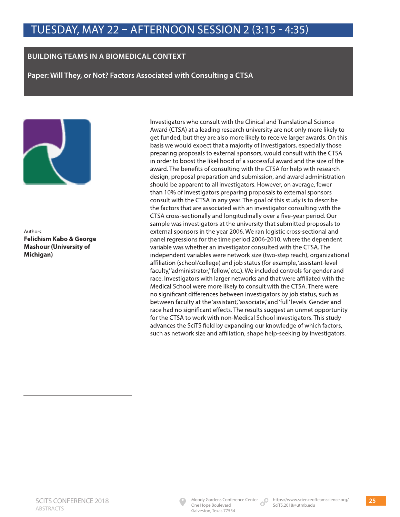#### **BUILDING TEAMS IN A BIOMEDICAL CONTEXT**

**Paper: Will They, or Not? Factors Associated with Consulting a CTSA** 



Authors: **Felichism Kabo & George Mashour (University of Michigan)**

Investigators who consult with the Clinical and Translational Science Award (CTSA) at a leading research university are not only more likely to get funded, but they are also more likely to receive larger awards. On this basis we would expect that a majority of investigators, especially those preparing proposals to external sponsors, would consult with the CTSA in order to boost the likelihood of a successful award and the size of the award. The benefits of consulting with the CTSA for help with research design, proposal preparation and submission, and award administration should be apparent to all investigators. However, on average, fewer than 10% of investigators preparing proposals to external sponsors consult with the CTSA in any year. The goal of this study is to describe the factors that are associated with an investigator consulting with the CTSA cross-sectionally and longitudinally over a five-year period. Our sample was investigators at the university that submitted proposals to external sponsors in the year 2006. We ran logistic cross-sectional and panel regressions for the time period 2006-2010, where the dependent variable was whether an investigator consulted with the CTSA. The independent variables were network size (two-step reach), organizational affiliation (school/college) and job status (for example, 'assistant-level faculty," administrator," fellow,' etc.). We included controls for gender and race. Investigators with larger networks and that were affiliated with the Medical School were more likely to consult with the CTSA. There were no significant differences between investigators by job status, such as between faculty at the 'assistant,' associate,' and 'full' levels. Gender and race had no significant effects. The results suggest an unmet opportunity for the CTSA to work with non-Medical School investigators. This study advances the SciTS field by expanding our knowledge of which factors, such as network size and affiliation, shape help-seeking by investigators.

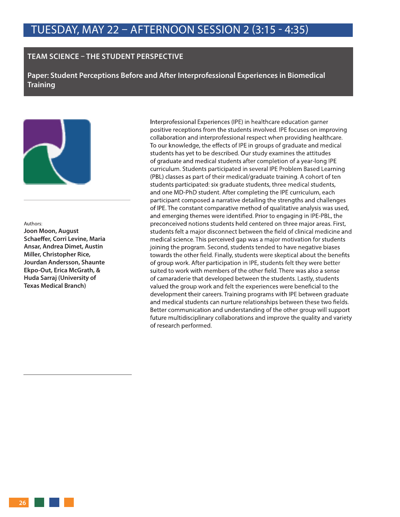#### **TEAM SCIENCE – THE STUDENT PERSPECTIVE**

**Paper: Student Perceptions Before and After Interprofessional Experiences in Biomedical Training** 



#### Authors:

**Joon Moon, August Schaeffer, Corri Levine, Maria Ansar, Andrea Dimet, Austin Miller, Christopher Rice, Jourdan Andersson, Shaunte Ekpo-Out, Erica McGrath, & Huda Sarraj (University of Texas Medical Branch)**

Interprofessional Experiences (IPE) in healthcare education garner positive receptions from the students involved. IPE focuses on improving collaboration and interprofessional respect when providing healthcare. To our knowledge, the effects of IPE in groups of graduate and medical students has yet to be described. Our study examines the attitudes of graduate and medical students after completion of a year-long IPE curriculum. Students participated in several IPE Problem Based Learning (PBL) classes as part of their medical/graduate training. A cohort of ten students participated: six graduate students, three medical students, and one MD-PhD student. After completing the IPE curriculum, each participant composed a narrative detailing the strengths and challenges of IPE. The constant comparative method of qualitative analysis was used, and emerging themes were identified. Prior to engaging in IPE-PBL, the preconceived notions students held centered on three major areas. First, students felt a major disconnect between the field of clinical medicine and medical science. This perceived gap was a major motivation for students joining the program. Second, students tended to have negative biases towards the other field. Finally, students were skeptical about the benefits of group work. After participation in IPE, students felt they were better suited to work with members of the other field. There was also a sense of camaraderie that developed between the students. Lastly, students valued the group work and felt the experiences were beneficial to the development their careers. Training programs with IPE between graduate and medical students can nurture relationships between these two fields. Better communication and understanding of the other group will support future multidisciplinary collaborations and improve the quality and variety of research performed.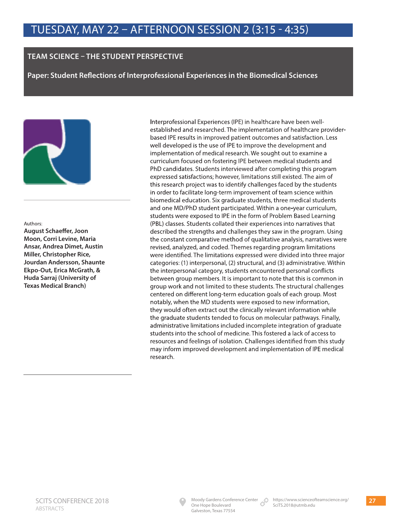#### **TEAM SCIENCE – THE STUDENT PERSPECTIVE**

**Paper: Student Reflections of Interprofessional Experiences in the Biomedical Sciences** 



#### Authors:

**August Schaeffer, Joon Moon, Corri Levine, Maria Ansar, Andrea Dimet, Austin Miller, Christopher Rice, Jourdan Andersson, Shaunte Ekpo-Out, Erica McGrath, & Huda Sarraj (University of Texas Medical Branch)**

Interprofessional Experiences (IPE) in healthcare have been wellestablished and researched. The implementation of healthcare providerbased IPE results in improved patient outcomes and satisfaction. Less well developed is the use of IPE to improve the development and implementation of medical research. We sought out to examine a curriculum focused on fostering IPE between medical students and PhD candidates. Students interviewed after completing this program expressed satisfactions; however, limitations still existed. The aim of this research project was to identify challenges faced by the students in order to facilitate long-term improvement of team science within biomedical education. Six graduate students, three medical students and one MD/PhD student participated. Within a one-year curriculum, students were exposed to IPE in the form of Problem Based Learning (PBL) classes. Students collated their experiences into narratives that described the strengths and challenges they saw in the program. Using the constant comparative method of qualitative analysis, narratives were revised, analyzed, and coded. Themes regarding program limitations were identified. The limitations expressed were divided into three major categories: (1) interpersonal, (2) structural, and (3) administrative. Within the interpersonal category, students encountered personal conflicts between group members. It is important to note that this is common in group work and not limited to these students. The structural challenges centered on different long-term education goals of each group. Most notably, when the MD students were exposed to new information, they would often extract out the clinically relevant information while the graduate students tended to focus on molecular pathways. Finally, administrative limitations included incomplete integration of graduate students into the school of medicine. This fostered a lack of access to resources and feelings of isolation. Challenges identified from this study may inform improved development and implementation of IPE medical research.

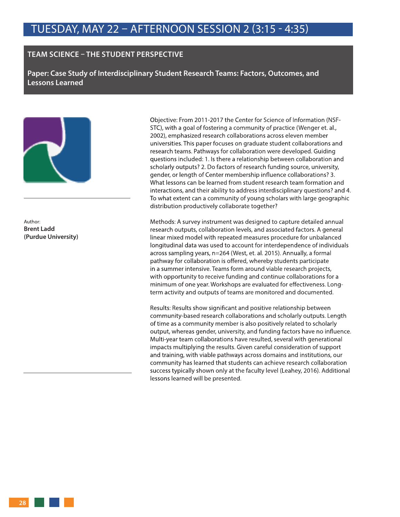#### **TEAM SCIENCE – THE STUDENT PERSPECTIVE**

**Paper: Case Study of Interdisciplinary Student Research Teams: Factors, Outcomes, and Lessons Learned** 



Author: **Brent Ladd (Purdue University)**

Objective: From 2011-2017 the Center for Science of Information (NSF-STC), with a goal of fostering a community of practice (Wenger et. al., 2002), emphasized research collaborations across eleven member universities. This paper focuses on graduate student collaborations and research teams. Pathways for collaboration were developed. Guiding questions included: 1. Is there a relationship between collaboration and scholarly outputs? 2. Do factors of research funding source, university, gender, or length of Center membership influence collaborations? 3. What lessons can be learned from student research team formation and interactions, and their ability to address interdisciplinary questions? and 4. To what extent can a community of young scholars with large geographic distribution productively collaborate together?

Methods: A survey instrument was designed to capture detailed annual research outputs, collaboration levels, and associated factors. A general linear mixed model with repeated measures procedure for unbalanced longitudinal data was used to account for interdependence of individuals across sampling years, n=264 (West, et. al. 2015). Annually, a formal pathway for collaboration is offered, whereby students participate in a summer intensive. Teams form around viable research projects, with opportunity to receive funding and continue collaborations for a minimum of one year. Workshops are evaluated for effectiveness. Longterm activity and outputs of teams are monitored and documented.

Results: Results show significant and positive relationship between community-based research collaborations and scholarly outputs. Length of time as a community member is also positively related to scholarly output, whereas gender, university, and funding factors have no influence. Multi-year team collaborations have resulted, several with generational impacts multiplying the results. Given careful consideration of support and training, with viable pathways across domains and institutions, our community has learned that students can achieve research collaboration success typically shown only at the faculty level (Leahey, 2016). Additional lessons learned will be presented.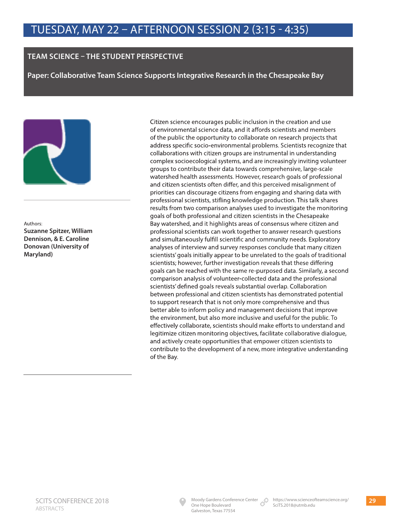#### **TEAM SCIENCE – THE STUDENT PERSPECTIVE**

**Paper: Collaborative Team Science Supports Integrative Research in the Chesapeake Bay** 



Authors: **Suzanne Spitzer, William Dennison, & E. Caroline Donovan (University of Maryland)**

Citizen science encourages public inclusion in the creation and use of environmental science data, and it affords scientists and members of the public the opportunity to collaborate on research projects that address specific socio-environmental problems. Scientists recognize that collaborations with citizen groups are instrumental in understanding complex socioecological systems, and are increasingly inviting volunteer groups to contribute their data towards comprehensive, large-scale watershed health assessments. However, research goals of professional and citizen scientists often differ, and this perceived misalignment of priorities can discourage citizens from engaging and sharing data with professional scientists, stifling knowledge production. This talk shares results from two comparison analyses used to investigate the monitoring goals of both professional and citizen scientists in the Chesapeake Bay watershed, and it highlights areas of consensus where citizen and professional scientists can work together to answer research questions and simultaneously fulfill scientific and community needs. Exploratory analyses of interview and survey responses conclude that many citizen scientists' goals initially appear to be unrelated to the goals of traditional scientists; however, further investigation reveals that these differing goals can be reached with the same re-purposed data. Similarly, a second comparison analysis of volunteer-collected data and the professional scientists' defined goals reveals substantial overlap. Collaboration between professional and citizen scientists has demonstrated potential to support research that is not only more comprehensive and thus better able to inform policy and management decisions that improve the environment, but also more inclusive and useful for the public. To effectively collaborate, scientists should make efforts to understand and legitimize citizen monitoring objectives, facilitate collaborative dialogue, and actively create opportunities that empower citizen scientists to contribute to the development of a new, more integrative understanding of the Bay.

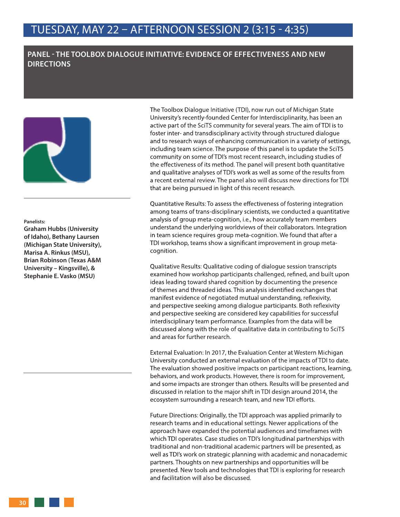#### **PANEL - THE TOOLBOX DIALOGUE INITIATIVE: EVIDENCE OF EFFECTIVENESS AND NEW DIRECTIONS**



#### **Panelists:**

**Graham Hubbs (University of Idaho), Bethany Laursen (Michigan State University), Marisa A. Rinkus (MSU), Brian Robinson (Texas A&M University – Kingsville), & Stephanie E. Vasko (MSU)**

The Toolbox Dialogue Initiative (TDI), now run out of Michigan State University's recently-founded Center for Interdisciplinarity, has been an active part of the SciTS community for several years. The aim of TDI is to foster inter- and transdisciplinary activity through structured dialogue and to research ways of enhancing communication in a variety of settings, including team science. The purpose of this panel is to update the SciTS community on some of TDI's most recent research, including studies of the effectiveness of its method. The panel will present both quantitative and qualitative analyses of TDI's work as well as some of the results from a recent external review. The panel also will discuss new directions for TDI that are being pursued in light of this recent research.

Quantitative Results: To assess the effectiveness of fostering integration among teams of trans-disciplinary scientists, we conducted a quantitative analysis of group meta-cognition, i.e., how accurately team members understand the underlying worldviews of their collaborators. Integration in team science requires group meta-cognition. We found that after a TDI workshop, teams show a significant improvement in group metacognition.

Qualitative Results: Qualitative coding of dialogue session transcripts examined how workshop participants challenged, refined, and built upon ideas leading toward shared cognition by documenting the presence of themes and threaded ideas. This analysis identified exchanges that manifest evidence of negotiated mutual understanding, reflexivity, and perspective seeking among dialogue participants. Both reflexivity and perspective seeking are considered key capabilities for successful interdisciplinary team performance. Examples from the data will be discussed along with the role of qualitative data in contributing to SciTS and areas for further research.

External Evaluation: In 2017, the Evaluation Center at Western Michigan University conducted an external evaluation of the impacts of TDI to date. The evaluation showed positive impacts on participant reactions, learning, behaviors, and work products. However, there is room for improvement, and some impacts are stronger than others. Results will be presented and discussed in relation to the major shift in TDI design around 2014, the ecosystem surrounding a research team, and new TDI efforts.

Future Directions: Originally, the TDI approach was applied primarily to research teams and in educational settings. Newer applications of the approach have expanded the potential audiences and timeframes with which TDI operates. Case studies on TDI's longitudinal partnerships with traditional and non-traditional academic partners will be presented, as well as TDI's work on strategic planning with academic and nonacademic partners. Thoughts on new partnerships and opportunities will be presented. New tools and technologies that TDI is exploring for research and facilitation will also be discussed.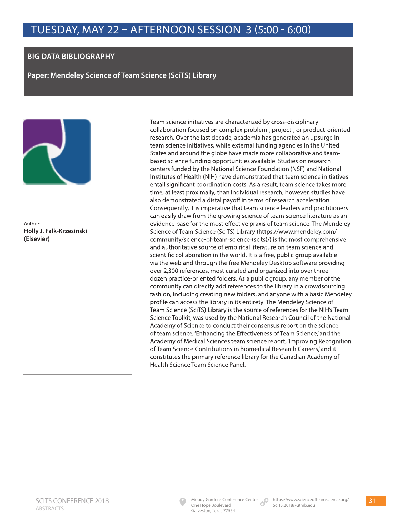#### **BIG DATA BIBLIOGRAPHY**

**Paper: Mendeley Science of Team Science (SciTS) Library** 



Author: **Holly J. Falk-Krzesinski (Elsevier)**

Team science initiatives are characterized by cross-disciplinary collaboration focused on complex problem-, project-, or product-oriented research. Over the last decade, academia has generated an upsurge in team science initiatives, while external funding agencies in the United States and around the globe have made more collaborative and teambased science funding opportunities available. Studies on research centers funded by the National Science Foundation (NSF) and National Institutes of Health (NIH) have demonstrated that team science initiatives entail significant coordination costs. As a result, team science takes more time, at least proximally, than individual research; however, studies have also demonstrated a distal payoff in terms of research acceleration. Consequently, it is imperative that team science leaders and practitioners can easily draw from the growing science of team science literature as an evidence base for the most effective praxis of team science. The Mendeley Science of Team Science (SciTS) Library (https://www.mendeley.com/ community/science-of-team-science-(scits)/) is the most comprehensive and authoritative source of empirical literature on team science and scientific collaboration in the world. It is a free, public group available via the web and through the free Mendeley Desktop software providing over 2,300 references, most curated and organized into over three dozen practice-oriented folders. As a public group, any member of the community can directly add references to the library in a crowdsourcing fashion, including creating new folders, and anyone with a basic Mendeley profile can access the library in its entirety. The Mendeley Science of Team Science (SciTS) Library is the source of references for the NIH's Team Science Toolkit, was used by the National Research Council of the National Academy of Science to conduct their consensus report on the science of team science, 'Enhancing the Effectiveness of Team Science,' and the Academy of Medical Sciences team science report, 'Improving Recognition of Team Science Contributions in Biomedical Research Careers,' and it constitutes the primary reference library for the Canadian Academy of Health Science Team Science Panel.

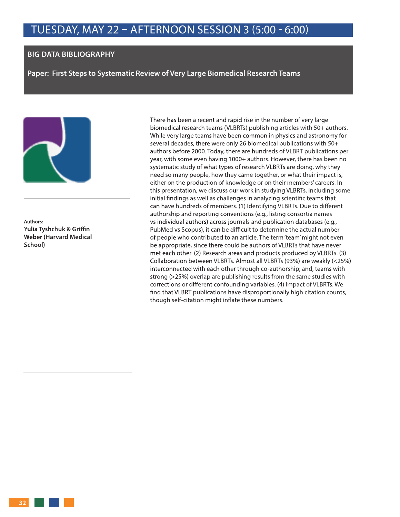#### **BIG DATA BIBLIOGRAPHY**

**Paper: First Steps to Systematic Review of Very Large Biomedical Research Teams**



**Authors: Yulia Tyshchuk & Griffin Weber (Harvard Medical School)**

There has been a recent and rapid rise in the number of very large biomedical research teams (VLBRTs) publishing articles with 50+ authors. While very large teams have been common in physics and astronomy for several decades, there were only 26 biomedical publications with 50+ authors before 2000. Today, there are hundreds of VLBRT publications per year, with some even having 1000+ authors. However, there has been no systematic study of what types of research VLBRTs are doing, why they need so many people, how they came together, or what their impact is, either on the production of knowledge or on their members' careers. In this presentation, we discuss our work in studying VLBRTs, including some initial findings as well as challenges in analyzing scientific teams that can have hundreds of members. (1) Identifying VLBRTs. Due to different authorship and reporting conventions (e.g., listing consortia names vs individual authors) across journals and publication databases (e.g., PubMed vs Scopus), it can be difficult to determine the actual number of people who contributed to an article. The term 'team' might not even be appropriate, since there could be authors of VLBRTs that have never met each other. (2) Research areas and products produced by VLBRTs. (3) Collaboration between VLBRTs. Almost all VLBRTs (93%) are weakly (<25%) interconnected with each other through co-authorship; and, teams with strong (>25%) overlap are publishing results from the same studies with corrections or different confounding variables. (4) Impact of VLBRTs. We find that VLBRT publications have disproportionally high citation counts, though self-citation might inflate these numbers.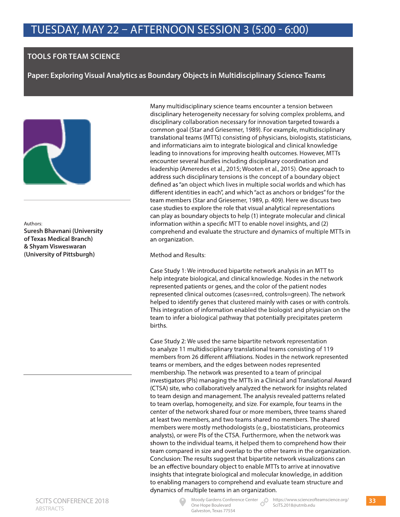#### **TOOLS FOR TEAM SCIENCE**

**Paper: Exploring Visual Analytics as Boundary Objects in Multidisciplinary Science Teams** 



Authors: **Suresh Bhavnani (University of Texas Medical Branch) & Shyam Visweswaran (University of Pittsburgh)**

Many multidisciplinary science teams encounter a tension between disciplinary heterogeneity necessary for solving complex problems, and disciplinary collaboration necessary for innovation targeted towards a common goal (Star and Griesemer, 1989). For example, multidisciplinary translational teams (MTTs) consisting of physicians, biologists, statisticians, and informaticians aim to integrate biological and clinical knowledge leading to innovations for improving health outcomes. However, MTTs encounter several hurdles including disciplinary coordination and leadership (Ameredes et al., 2015; Wooten et al., 2015). One approach to address such disciplinary tensions is the concept of a boundary object defined as "an object which lives in multiple social worlds and which has different identities in each", and which "act as anchors or bridges" for the team members (Star and Griesemer, 1989, p. 409). Here we discuss two case studies to explore the role that visual analytical representations can play as boundary objects to help (1) integrate molecular and clinical information within a specific MTT to enable novel insights, and (2) comprehend and evaluate the structure and dynamics of multiple MTTs in an organization.

Method and Results:

Case Study 1: We introduced bipartite network analysis in an MTT to help integrate biological, and clinical knowledge. Nodes in the network represented patients or genes, and the color of the patient nodes represented clinical outcomes (cases=red, controls=green). The network helped to identify genes that clustered mainly with cases or with controls. This integration of information enabled the biologist and physician on the team to infer a biological pathway that potentially precipitates preterm births.

Case Study 2: We used the same bipartite network representation to analyze 11 multidisciplinary translational teams consisting of 119 members from 26 different affiliations. Nodes in the network represented teams or members, and the edges between nodes represented membership. The network was presented to a team of principal investigators (PIs) managing the MTTs in a Clinical and Translational Award (CTSA) site, who collaboratively analyzed the network for insights related to team design and management. The analysis revealed patterns related to team overlap, homogeneity, and size. For example, four teams in the center of the network shared four or more members, three teams shared at least two members, and two teams shared no members. The shared members were mostly methodologists (e.g., biostatisticians, proteomics analysts), or were PIs of the CTSA. Furthermore, when the network was shown to the individual teams, it helped them to comprehend how their team compared in size and overlap to the other teams in the organization. Conclusion: The results suggest that bipartite network visualizations can be an effective boundary object to enable MTTs to arrive at innovative insights that integrate biological and molecular knowledge, in addition to enabling managers to comprehend and evaluate team structure and dynamics of multiple teams in an organization.



Moody Gardens Conference Center https://www.scienceofteamscience.org/ SciTS.2018@utmb.edu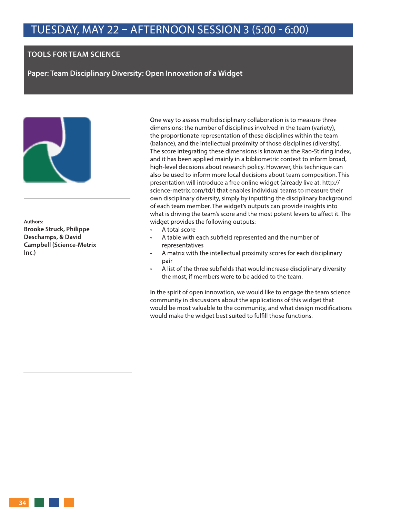#### **TOOLS FOR TEAM SCIENCE**

**Paper: Team Disciplinary Diversity: Open Innovation of a Widget** 



**Authors: Brooke Struck, Philippe Deschamps, & David Campbell (Science-Metrix Inc.)**

One way to assess multidisciplinary collaboration is to measure three dimensions: the number of disciplines involved in the team (variety), the proportionate representation of these disciplines within the team (balance), and the intellectual proximity of those disciplines (diversity). The score integrating these dimensions is known as the Rao-Stirling index, and it has been applied mainly in a bibliometric context to inform broad, high-level decisions about research policy. However, this technique can also be used to inform more local decisions about team composition. This presentation will introduce a free online widget (already live at: http:// science-metrix.com/td/) that enables individual teams to measure their own disciplinary diversity, simply by inputting the disciplinary background of each team member. The widget's outputs can provide insights into what is driving the team's score and the most potent levers to affect it. The widget provides the following outputs:

- A total score
- A table with each subfield represented and the number of representatives
- A matrix with the intellectual proximity scores for each disciplinary pair
- A list of the three subfields that would increase disciplinary diversity the most, if members were to be added to the team.

In the spirit of open innovation, we would like to engage the team science community in discussions about the applications of this widget that would be most valuable to the community, and what design modifications would make the widget best suited to fulfill those functions.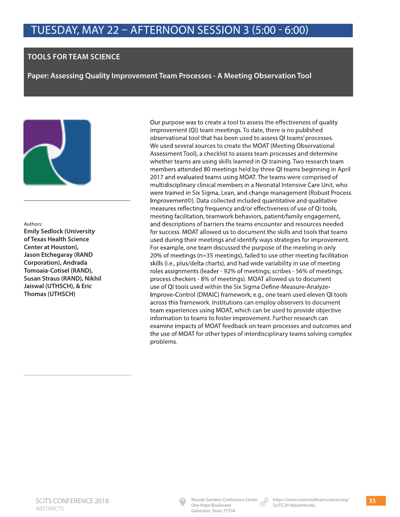#### **TOOLS FOR TEAM SCIENCE**

**Paper: Assessing Quality Improvement Team Processes - A Meeting Observation Tool** 



#### Authors:

**Emily Sedlock (University of Texas Health Science Center at Houston), Jason Etchegaray (RAND Corporation), Andrada Tomoaia-Cotisel (RAND), Susan Straus (RAND), Nikhil Jaiswal (UTHSCH), & Eric Thomas (UTHSCH)**

Our purpose was to create a tool to assess the effectiveness of quality improvement (QI) team meetings. To date, there is no published observational tool that has been used to assess QI teams' processes. We used several sources to create the MOAT (Meeting Observational Assessment Tool), a checklist to assess team processes and determine whether teams are using skills learned in QI training. Two research team members attended 80 meetings held by three QI teams beginning in April 2017 and evaluated teams using MOAT. The teams were comprised of multidisciplinary clinical members in a Neonatal Intensive Care Unit, who were trained in Six Sigma, Lean, and change management (Robust Process Improvement©). Data collected included quantitative and qualitative measures reflecting frequency and/or effectiveness of use of QI tools, meeting facilitation, teamwork behaviors, patient/family engagement, and descriptions of barriers the teams encounter and resources needed for success. MOAT allowed us to document the skills and tools that teams used during their meetings and identify ways strategies for improvement. For example, one team discussed the purpose of the meeting in only 20% of meetings (n=35 meetings), failed to use other meeting facilitation skills (i.e., plus/delta charts), and had wide variability in use of meeting roles assignments (leader - 92% of meetings; scribes - 56% of meetings; process checkers - 8% of meetings). MOAT allowed us to document use of QI tools used within the Six Sigma Define-Measure-Analyze-Improve-Control (DMAIC) framework; e.g., one team used eleven QI tools across this framework. Institutions can employ observers to document team experiences using MOAT, which can be used to provide objective information to teams to foster improvement. Further research can examine impacts of MOAT feedback on team processes and outcomes and the use of MOAT for other types of interdisciplinary teams solving complex problems.

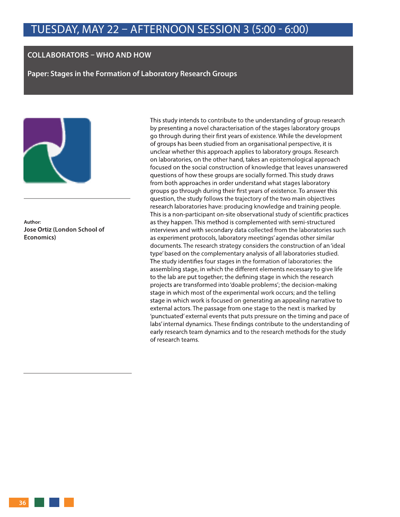#### **COLLABORATORS – WHO AND HOW**

**Paper: Stages in the Formation of Laboratory Research Groups** 



**Author: Jose Ortiz (London School of Economics)**

This study intends to contribute to the understanding of group research by presenting a novel characterisation of the stages laboratory groups go through during their first years of existence. While the development of groups has been studied from an organisational perspective, it is unclear whether this approach applies to laboratory groups. Research on laboratories, on the other hand, takes an epistemological approach focused on the social construction of knowledge that leaves unanswered questions of how these groups are socially formed. This study draws from both approaches in order understand what stages laboratory groups go through during their first years of existence. To answer this question, the study follows the trajectory of the two main objectives research laboratories have: producing knowledge and training people. This is a non-participant on-site observational study of scientific practices as they happen. This method is complemented with semi-structured interviews and with secondary data collected from the laboratories such as experiment protocols, laboratory meetings' agendas other similar documents. The research strategy considers the construction of an 'ideal type' based on the complementary analysis of all laboratories studied. The study identifies four stages in the formation of laboratories: the assembling stage, in which the different elements necessary to give life to the lab are put together; the defining stage in which the research projects are transformed into 'doable problems'; the decision-making stage in which most of the experimental work occurs; and the telling stage in which work is focused on generating an appealing narrative to external actors. The passage from one stage to the next is marked by 'punctuated' external events that puts pressure on the timing and pace of labs' internal dynamics. These findings contribute to the understanding of early research team dynamics and to the research methods for the study of research teams.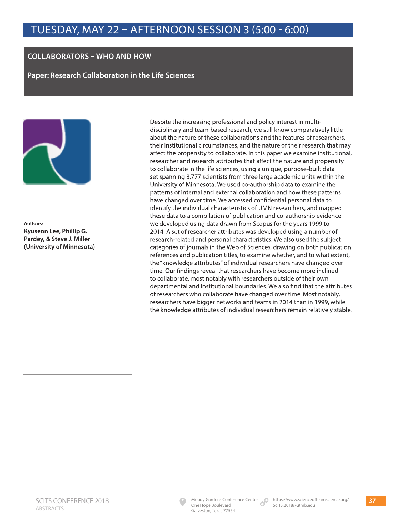## **COLLABORATORS – WHO AND HOW**

**Paper: Research Collaboration in the Life Sciences** 



**Authors: Kyuseon Lee, Phillip G. Pardey, & Steve J. Miller (University of Minnesota)**

Despite the increasing professional and policy interest in multidisciplinary and team-based research, we still know comparatively little about the nature of these collaborations and the features of researchers, their institutional circumstances, and the nature of their research that may affect the propensity to collaborate. In this paper we examine institutional, researcher and research attributes that affect the nature and propensity to collaborate in the life sciences, using a unique, purpose-built data set spanning 3,777 scientists from three large academic units within the University of Minnesota. We used co-authorship data to examine the patterns of internal and external collaboration and how these patterns have changed over time. We accessed confidential personal data to identify the individual characteristics of UMN researchers, and mapped these data to a compilation of publication and co-authorship evidence we developed using data drawn from Scopus for the years 1999 to 2014. A set of researcher attributes was developed using a number of research-related and personal characteristics. We also used the subject categories of journals in the Web of Sciences, drawing on both publication references and publication titles, to examine whether, and to what extent, the "knowledge attributes" of individual researchers have changed over time. Our findings reveal that researchers have become more inclined to collaborate, most notably with researchers outside of their own departmental and institutional boundaries. We also find that the attributes of researchers who collaborate have changed over time. Most notably, researchers have bigger networks and teams in 2014 than in 1999, while the knowledge attributes of individual researchers remain relatively stable.

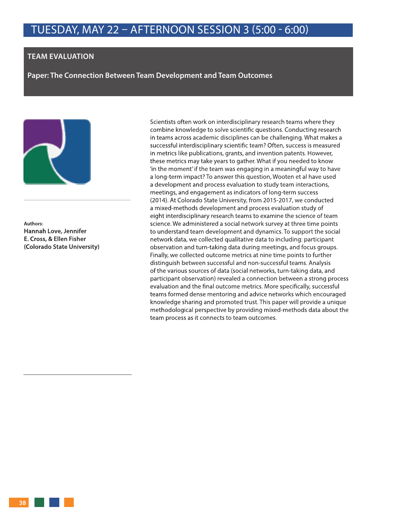### **TEAM EVALUATION**

**Paper: The Connection Between Team Development and Team Outcomes** 



**Authors: Hannah Love, Jennifer E. Cross, & Ellen Fisher (Colorado State University)** Scientists often work on interdisciplinary research teams where they combine knowledge to solve scientific questions. Conducting research in teams across academic disciplines can be challenging. What makes a successful interdisciplinary scientific team? Often, success is measured in metrics like publications, grants, and invention patents. However, these metrics may take years to gather. What if you needed to know 'in the moment' if the team was engaging in a meaningful way to have a long-term impact? To answer this question, Wooten et al have used a development and process evaluation to study team interactions, meetings, and engagement as indicators of long-term success (2014). At Colorado State University, from 2015-2017, we conducted a mixed-methods development and process evaluation study of eight interdisciplinary research teams to examine the science of team science. We administered a social network survey at three time points to understand team development and dynamics. To support the social network data, we collected qualitative data to including: participant observation and turn-taking data during meetings, and focus groups. Finally, we collected outcome metrics at nine time points to further distinguish between successful and non-successful teams. Analysis of the various sources of data (social networks, turn-taking data, and participant observation) revealed a connection between a strong process evaluation and the final outcome metrics. More specifically, successful teams formed dense mentoring and advice networks which encouraged knowledge sharing and promoted trust. This paper will provide a unique methodological perspective by providing mixed-methods data about the team process as it connects to team outcomes.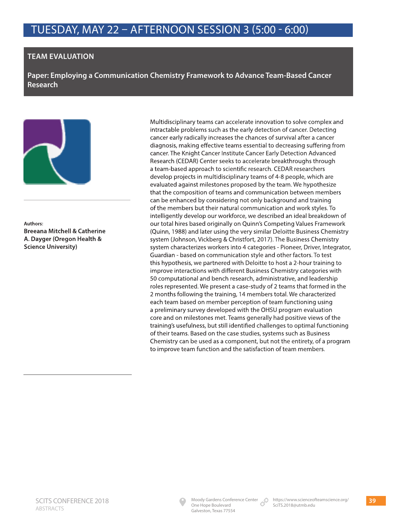## **TEAM EVALUATION**

**Paper: Employing a Communication Chemistry Framework to Advance Team-Based Cancer Research** 



**Authors: Breeana Mitchell & Catherine A. Dayger (Oregon Health & Science University)**

Multidisciplinary teams can accelerate innovation to solve complex and intractable problems such as the early detection of cancer. Detecting cancer early radically increases the chances of survival after a cancer diagnosis, making effective teams essential to decreasing suffering from cancer. The Knight Cancer Institute Cancer Early Detection Advanced Research (CEDAR) Center seeks to accelerate breakthroughs through a team-based approach to scientific research. CEDAR researchers develop projects in multidisciplinary teams of 4-8 people, which are evaluated against milestones proposed by the team. We hypothesize that the composition of teams and communication between members can be enhanced by considering not only background and training of the members but their natural communication and work styles. To intelligently develop our workforce, we described an ideal breakdown of our total hires based originally on Quinn's Competing Values Framework (Quinn, 1988) and later using the very similar Deloitte Business Chemistry system (Johnson, Vickberg & Christfort, 2017). The Business Chemistry system characterizes workers into 4 categories - Pioneer, Driver, Integrator, Guardian - based on communication style and other factors. To test this hypothesis, we partnered with Deloitte to host a 2-hour training to improve interactions with different Business Chemistry categories with 50 computational and bench research, administrative, and leadership roles represented. We present a case-study of 2 teams that formed in the 2 months following the training, 14 members total. We characterized each team based on member perception of team functioning using a preliminary survey developed with the OHSU program evaluation core and on milestones met. Teams generally had positive views of the training's usefulness, but still identified challenges to optimal functioning of their teams. Based on the case studies, systems such as Business Chemistry can be used as a component, but not the entirety, of a program to improve team function and the satisfaction of team members.

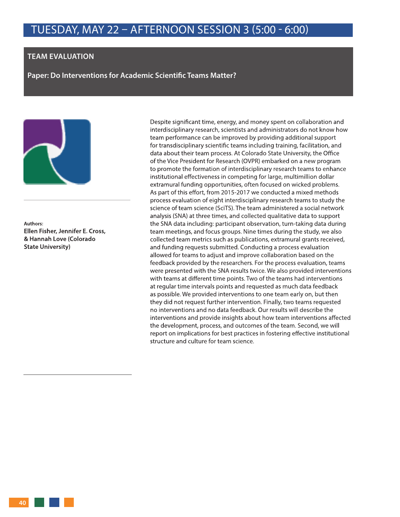### **TEAM EVALUATION**

**Paper: Do Interventions for Academic Scientific Teams Matter?** 



**Authors: Ellen Fisher, Jennifer E. Cross, & Hannah Love (Colorado State University)**

Despite significant time, energy, and money spent on collaboration and interdisciplinary research, scientists and administrators do not know how team performance can be improved by providing additional support for transdisciplinary scientific teams including training, facilitation, and data about their team process. At Colorado State University, the Office of the Vice President for Research (OVPR) embarked on a new program to promote the formation of interdisciplinary research teams to enhance institutional effectiveness in competing for large, multimillion dollar extramural funding opportunities, often focused on wicked problems. As part of this effort, from 2015-2017 we conducted a mixed methods process evaluation of eight interdisciplinary research teams to study the science of team science (SciTS). The team administered a social network analysis (SNA) at three times, and collected qualitative data to support the SNA data including: participant observation, turn-taking data during team meetings, and focus groups. Nine times during the study, we also collected team metrics such as publications, extramural grants received, and funding requests submitted. Conducting a process evaluation allowed for teams to adjust and improve collaboration based on the feedback provided by the researchers. For the process evaluation, teams were presented with the SNA results twice. We also provided interventions with teams at different time points. Two of the teams had interventions at regular time intervals points and requested as much data feedback as possible. We provided interventions to one team early on, but then they did not request further intervention. Finally, two teams requested no interventions and no data feedback. Our results will describe the interventions and provide insights about how team interventions affected the development, process, and outcomes of the team. Second, we will report on implications for best practices in fostering effective institutional structure and culture for team science.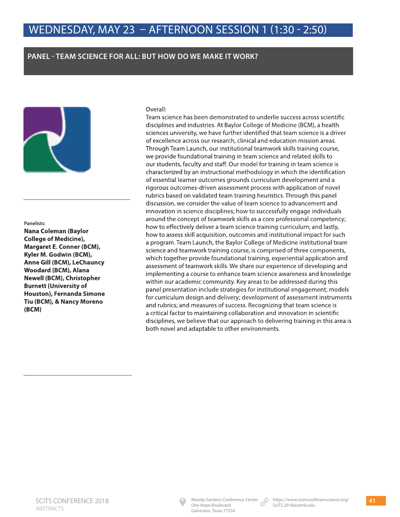## **PANEL - TEAM SCIENCE FOR ALL: BUT HOW DO WE MAKE IT WORK?**



#### **Panelists:**

**Nana Coleman (Baylor College of Medicine), Margaret E. Conner (BCM), Kyler M. Godwin (BCM), Anne Gill (BCM), LeChauncy Woodard (BCM), Alana Newell (BCM), Christopher Burnett (University of Houston), Fernanda Simone Tiu (BCM), & Nancy Moreno (BCM)**

### Overall:

Team science has been demonstrated to underlie success across scientific disciplines and industries. At Baylor College of Medicine (BCM), a health sciences university, we have further identified that team science is a driver of excellence across our research, clinical and education mission areas. Through Team Launch, our institutional teamwork skills training course, we provide foundational training in team science and related skills to our students, faculty and staff. Our model for training in team science is characterized by an instructional methodology in which the identification of essential learner outcomes grounds curriculum development and a rigorous outcomes-driven assessment process with application of novel rubrics based on validated team training heuristics. Through this panel discussion, we consider the value of team science to advancement and innovation in science disciplines; how to successfully engage individuals around the concept of teamwork skills as a core professional competency; how to effectively deliver a team science training curriculum; and lastly, how to assess skill acquisition, outcomes and institutional impact for such a program. Team Launch, the Baylor College of Medicine institutional team science and teamwork training course, is comprised of three components, which together provide foundational training, experiential application and assessment of teamwork skills. We share our experience of developing and implementing a course to enhance team science awareness and knowledge within our academic community. Key areas to be addressed during this panel presentation include strategies for institutional engagement; models for curriculum design and delivery; development of assessment instruments and rubrics; and measures of success. Recognizing that team science is a critical factor to maintaining collaboration and innovation in scientific disciplines, we believe that our approach to delivering training in this area is both novel and adaptable to other environments.

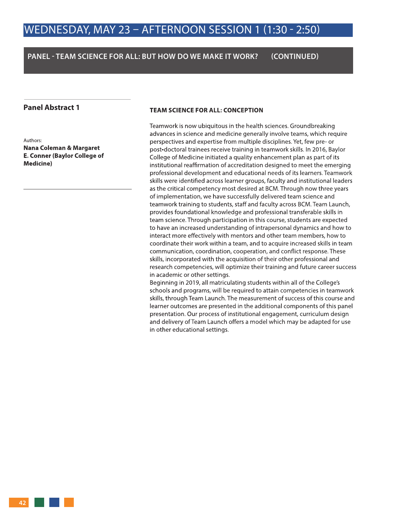### **PANEL - TEAM SCIENCE FOR ALL: BUT HOW DO WE MAKE IT WORK? (CONTINUED)**

### **Panel Abstract 1**

Authors:

**Nana Coleman & Margaret E. Conner (Baylor College of Medicine)**

### **TEAM SCIENCE FOR ALL: CONCEPTION**

Teamwork is now ubiquitous in the health sciences. Groundbreaking advances in science and medicine generally involve teams, which require perspectives and expertise from multiple disciplines. Yet, few pre- or post-doctoral trainees receive training in teamwork skills. In 2016, Baylor College of Medicine initiated a quality enhancement plan as part of its institutional reaffirmation of accreditation designed to meet the emerging professional development and educational needs of its learners. Teamwork skills were identified across learner groups, faculty and institutional leaders as the critical competency most desired at BCM. Through now three years of implementation, we have successfully delivered team science and teamwork training to students, staff and faculty across BCM. Team Launch, provides foundational knowledge and professional transferable skills in team science. Through participation in this course, students are expected to have an increased understanding of intrapersonal dynamics and how to interact more effectively with mentors and other team members, how to coordinate their work within a team, and to acquire increased skills in team communication, coordination, cooperation, and conflict response. These skills, incorporated with the acquisition of their other professional and research competencies, will optimize their training and future career success in academic or other settings.

Beginning in 2019, all matriculating students within all of the College's schools and programs, will be required to attain competencies in teamwork skills, through Team Launch. The measurement of success of this course and learner outcomes are presented in the additional components of this panel presentation. Our process of institutional engagement, curriculum design and delivery of Team Launch offers a model which may be adapted for use in other educational settings.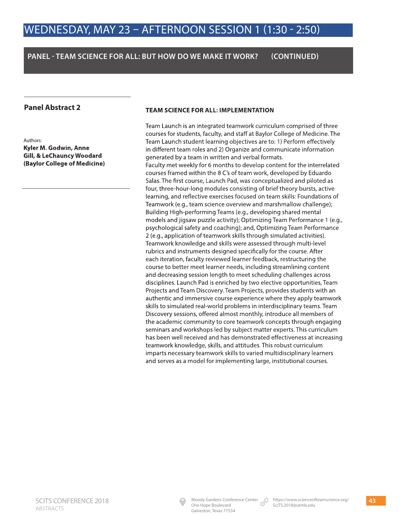## **PANEL - TEAM SCIENCE FOR ALL: BUT HOW DO WE MAKE IT WORK? (CONTINUED)**

### **Panel Abstract 2**

Authors: **Kyler M. Godwin, Anne Gill, & LeChauncy Woodard (Baylor College of Medicine)**

### **TEAM SCIENCE FOR ALL: IMPLEMENTATION**

Team Launch is an integrated teamwork curriculum comprised of three courses for students, faculty, and staff at Baylor College of Medicine. The Team Launch student learning objectives are to: 1) Perform effectively in different team roles and 2) Organize and communicate information generated by a team in written and verbal formats.

Faculty met weekly for 6 months to develop content for the interrelated courses framed within the 8 C's of team work, developed by Eduardo Salas. The first course, Launch Pad, was conceptualized and piloted as four, three-hour-long modules consisting of brief theory bursts, active learning, and reflective exercises focused on team skills: Foundations of Teamwork (e.g., team science overview and marshmallow challenge); Building High-performing Teams (e.g., developing shared mental models and jigsaw puzzle activity); Optimizing Team Performance 1 (e.g., psychological safety and coaching); and, Optimizing Team Performance 2 (e.g., application of teamwork skills through simulated activities). Teamwork knowledge and skills were assessed through multi-level rubrics and instruments designed specifically for the course. After each iteration, faculty reviewed learner feedback, restructuring the course to better meet learner needs, including streamlining content and decreasing session length to meet scheduling challenges across disciplines. Launch Pad is enriched by two elective opportunities, Team Projects and Team Discovery. Team Projects, provides students with an authentic and immersive course experience where they apply teamwork skills to simulated real-world problems in interdisciplinary teams. Team Discovery sessions, offered almost monthly, introduce all members of the academic community to core teamwork concepts through engaging seminars and workshops led by subject matter experts. This curriculum has been well received and has demonstrated effectiveness at increasing teamwork knowledge, skills, and attitudes. This robust curriculum imparts necessary teamwork skills to varied multidisciplinary learners and serves as a model for implementing large, institutional courses.

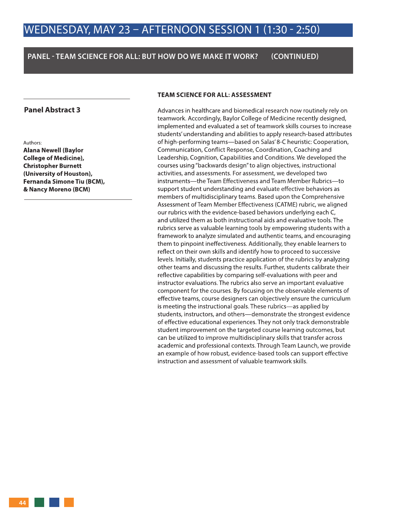### **PANEL - TEAM SCIENCE FOR ALL: BUT HOW DO WE MAKE IT WORK? (CONTINUED)**

### **Panel Abstract 3**

#### Authors:

**Alana Newell (Baylor College of Medicine), Christopher Burnett (University of Houston), Fernanda Simone Tiu (BCM), & Nancy Moreno (BCM)**

#### **TEAM SCIENCE FOR ALL: ASSESSMENT**

Advances in healthcare and biomedical research now routinely rely on teamwork. Accordingly, Baylor College of Medicine recently designed, implemented and evaluated a set of teamwork skills courses to increase students' understanding and abilities to apply research-based attributes of high-performing teams—based on Salas' 8-C heuristic: Cooperation, Communication, Conflict Response, Coordination, Coaching and Leadership, Cognition, Capabilities and Conditions. We developed the courses using "backwards design" to align objectives, instructional activities, and assessments. For assessment, we developed two instruments—the Team Effectiveness and Team Member Rubrics—to support student understanding and evaluate effective behaviors as members of multidisciplinary teams. Based upon the Comprehensive Assessment of Team Member Effectiveness (CATME) rubric, we aligned our rubrics with the evidence-based behaviors underlying each C, and utilized them as both instructional aids and evaluative tools. The rubrics serve as valuable learning tools by empowering students with a framework to analyze simulated and authentic teams, and encouraging them to pinpoint ineffectiveness. Additionally, they enable learners to reflect on their own skills and identify how to proceed to successive levels. Initially, students practice application of the rubrics by analyzing other teams and discussing the results. Further, students calibrate their reflective capabilities by comparing self-evaluations with peer and instructor evaluations. The rubrics also serve an important evaluative component for the courses. By focusing on the observable elements of effective teams, course designers can objectively ensure the curriculum is meeting the instructional goals. These rubrics—as applied by students, instructors, and others—demonstrate the strongest evidence of effective educational experiences. They not only track demonstrable student improvement on the targeted course learning outcomes, but can be utilized to improve multidisciplinary skills that transfer across academic and professional contexts. Through Team Launch, we provide an example of how robust, evidence-based tools can support effective instruction and assessment of valuable teamwork skills.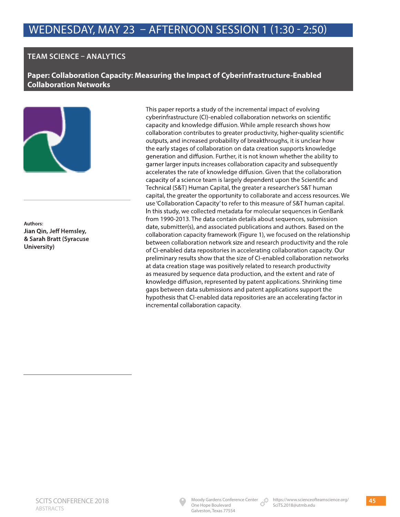## **TEAM SCIENCE – ANALYTICS**

**Paper: Collaboration Capacity: Measuring the Impact of Cyberinfrastructure-Enabled Collaboration Networks**



**Authors: Jian Qin, Jeff Hemsley, & Sarah Bratt (Syracuse University)**

This paper reports a study of the incremental impact of evolving cyberinfrastructure (CI)-enabled collaboration networks on scientific capacity and knowledge diffusion. While ample research shows how collaboration contributes to greater productivity, higher-quality scientific outputs, and increased probability of breakthroughs, it is unclear how the early stages of collaboration on data creation supports knowledge generation and diffusion. Further, it is not known whether the ability to garner larger inputs increases collaboration capacity and subsequently accelerates the rate of knowledge diffusion. Given that the collaboration capacity of a science team is largely dependent upon the Scientific and Technical (S&T) Human Capital, the greater a researcher's S&T human capital, the greater the opportunity to collaborate and access resources. We use 'Collaboration Capacity' to refer to this measure of S&T human capital. In this study, we collected metadata for molecular sequences in GenBank from 1990-2013. The data contain details about sequences, submission date, submitter(s), and associated publications and authors. Based on the collaboration capacity framework (Figure 1), we focused on the relationship between collaboration network size and research productivity and the role of CI-enabled data repositories in accelerating collaboration capacity. Our preliminary results show that the size of CI-enabled collaboration networks at data creation stage was positively related to research productivity as measured by sequence data production, and the extent and rate of knowledge diffusion, represented by patent applications. Shrinking time gaps between data submissions and patent applications support the hypothesis that CI-enabled data repositories are an accelerating factor in incremental collaboration capacity.

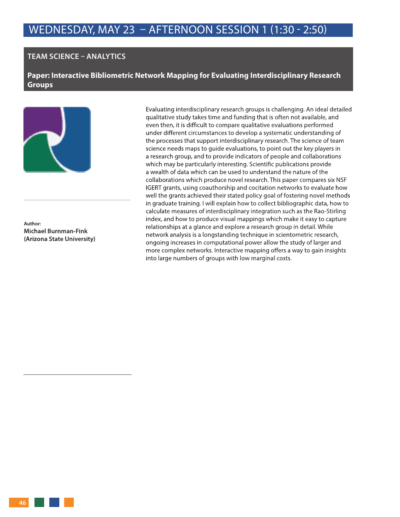### **TEAM SCIENCE – ANALYTICS**

**Paper: Interactive Bibliometric Network Mapping for Evaluating Interdisciplinary Research Groups** 



**Author: Michael Burnman-Fink (Arizona State University)** Evaluating interdisciplinary research groups is challenging. An ideal detailed qualitative study takes time and funding that is often not available, and even then, it is difficult to compare qualitative evaluations performed under different circumstances to develop a systematic understanding of the processes that support interdisciplinary research. The science of team science needs maps to guide evaluations, to point out the key players in a research group, and to provide indicators of people and collaborations which may be particularly interesting. Scientific publications provide a wealth of data which can be used to understand the nature of the collaborations which produce novel research. This paper compares six NSF IGERT grants, using coauthorship and cocitation networks to evaluate how well the grants achieved their stated policy goal of fostering novel methods in graduate training. I will explain how to collect bibliographic data, how to calculate measures of interdisciplinary integration such as the Rao-Stirling index, and how to produce visual mappings which make it easy to capture relationships at a glance and explore a research group in detail. While network analysis is a longstanding technique in scientometric research, ongoing increases in computational power allow the study of larger and more complex networks. Interactive mapping offers a way to gain insights into large numbers of groups with low marginal costs.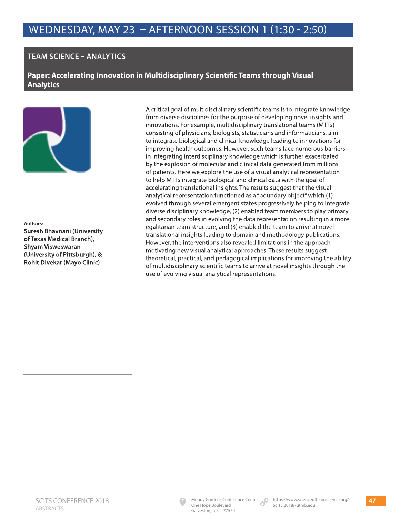## **TEAM SCIENCE – ANALYTICS**

**Paper: Accelerating Innovation in Multidisciplinary Scientific Teams through Visual Analytics**



#### **Authors:**

**Suresh Bhavnani (University of Texas Medical Branch), Shyam Visweswaran (University of Pittsburgh), & Rohit Divekar (Mayo Clinic)**

A critical goal of multidisciplinary scientific teams is to integrate knowledge from diverse disciplines for the purpose of developing novel insights and innovations. For example, multidisciplinary translational teams (MTTs) consisting of physicians, biologists, statisticians and informaticians, aim to integrate biological and clinical knowledge leading to innovations for improving health outcomes. However, such teams face numerous barriers in integrating interdisciplinary knowledge which is further exacerbated by the explosion of molecular and clinical data generated from millions of patients. Here we explore the use of a visual analytical representation to help MTTs integrate biological and clinical data with the goal of accelerating translational insights. The results suggest that the visual analytical representation functioned as a "boundary object" which (1) evolved through several emergent states progressively helping to integrate diverse disciplinary knowledge, (2) enabled team members to play primary and secondary roles in evolving the data representation resulting in a more egalitarian team structure, and (3) enabled the team to arrive at novel translational insights leading to domain and methodology publications. However, the interventions also revealed limitations in the approach motivating new visual analytical approaches. These results suggest theoretical, practical, and pedagogical implications for improving the ability of multidisciplinary scientific teams to arrive at novel insights through the use of evolving visual analytical representations.

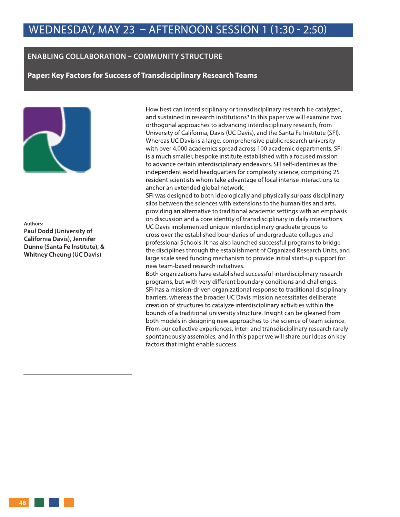### **ENABLING COLLABORATION – COMMUNITY STRUCTURE**

**Paper: Key Factors for Success of Transdisciplinary Research Teams** 



### **Authors: Paul Dodd (University of California Davis), Jennifer Dunne (Santa Fe Institute), & Whitney Cheung (UC Davis)**

How best can interdisciplinary or transdisciplinary research be catalyzed, and sustained in research institutions? In this paper we will examine two orthogonal approaches to advancing interdisciplinary research, from University of California, Davis (UC Davis), and the Santa Fe Institute (SFI). Whereas UC Davis is a large, comprehensive public research university with over 4,000 academics spread across 100 academic departments, SFI is a much smaller, bespoke institute established with a focused mission to advance certain interdisciplinary endeavors. SFI self-identifies as the independent world headquarters for complexity science, comprising 25 resident scientists whom take advantage of local intense interactions to anchor an extended global network.

SFI was designed to both ideologically and physically surpass disciplinary silos between the sciences with extensions to the humanities and arts, providing an alternative to traditional academic settings with an emphasis on discussion and a core identity of transdisciplinary in daily interactions. UC Davis implemented unique interdisciplinary graduate groups to cross over the established boundaries of undergraduate colleges and professional Schools. It has also launched successful programs to bridge the disciplines through the establishment of Organized Research Units, and large scale seed funding mechanism to provide initial start-up support for new team-based research initiatives.

Both organizations have established successful interdisciplinary research programs, but with very different boundary conditions and challenges. SFI has a mission-driven organizational response to traditional disciplinary barriers, whereas the broader UC Davis mission necessitates deliberate creation of structures to catalyze interdisciplinary activities within the bounds of a traditional university structure. Insight can be gleaned from both models in designing new approaches to the science of team science. From our collective experiences, inter- and transdisciplinary research rarely spontaneously assembles, and in this paper we will share our ideas on key factors that might enable success.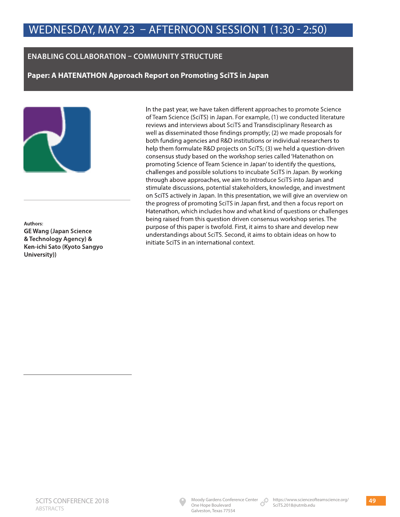## **ENABLING COLLABORATION – COMMUNITY STRUCTURE**

**Paper: A HATENATHON Approach Report on Promoting SciTS in Japan** 



**Authors: GE Wang (Japan Science & Technology Agency) & Ken-ichi Sato (Kyoto Sangyo University))**

In the past year, we have taken different approaches to promote Science of Team Science (SciTS) in Japan. For example, (1) we conducted literature reviews and interviews about SciTS and Transdisciplinary Research as well as disseminated those findings promptly; (2) we made proposals for both funding agencies and R&D institutions or individual researchers to help them formulate R&D projects on SciTS; (3) we held a question-driven consensus study based on the workshop series called 'Hatenathon on promoting Science of Team Science in Japan' to identify the questions, challenges and possible solutions to incubate SciTS in Japan. By working through above approaches, we aim to introduce SciTS into Japan and stimulate discussions, potential stakeholders, knowledge, and investment on SciTS actively in Japan. In this presentation, we will give an overview on the progress of promoting SciTS in Japan first, and then a focus report on Hatenathon, which includes how and what kind of questions or challenges being raised from this question driven consensus workshop series. The purpose of this paper is twofold. First, it aims to share and develop new understandings about SciTS. Second, it aims to obtain ideas on how to initiate SciTS in an international context.

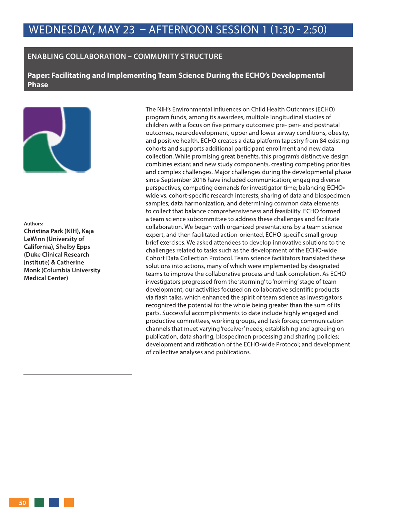### **ENABLING COLLABORATION – COMMUNITY STRUCTURE**

**Paper: Facilitating and Implementing Team Science During the ECHO's Developmental Phase** 



#### **Authors:**

**Christina Park (NIH), Kaja LeWinn (University of California), Shelby Epps (Duke Clinical Research Institute) & Catherine Monk (Columbia University Medical Center)**

The NIH's Environmental influences on Child Health Outcomes (ECHO) program funds, among its awardees, multiple longitudinal studies of children with a focus on five primary outcomes: pre- peri- and postnatal outcomes, neurodevelopment, upper and lower airway conditions, obesity, and positive health. ECHO creates a data platform tapestry from 84 existing cohorts and supports additional participant enrollment and new data collection. While promising great benefits, this program's distinctive design combines extant and new study components, creating competing priorities and complex challenges. Major challenges during the developmental phase since September 2016 have included communication; engaging diverse perspectives; competing demands for investigator time; balancing ECHOwide vs. cohort-specific research interests; sharing of data and biospecimen samples; data harmonization; and determining common data elements to collect that balance comprehensiveness and feasibility. ECHO formed a team science subcommittee to address these challenges and facilitate collaboration. We began with organized presentations by a team science expert, and then facilitated action-oriented, ECHO-specific small group brief exercises. We asked attendees to develop innovative solutions to the challenges related to tasks such as the development of the ECHO-wide Cohort Data Collection Protocol. Team science facilitators translated these solutions into actions, many of which were implemented by designated teams to improve the collaborative process and task completion. As ECHO investigators progressed from the 'storming' to 'norming' stage of team development, our activities focused on collaborative scientific products via flash talks, which enhanced the spirit of team science as investigators recognized the potential for the whole being greater than the sum of its parts. Successful accomplishments to date include highly engaged and productive committees, working groups, and task forces; communication channels that meet varying 'receiver' needs; establishing and agreeing on publication, data sharing, biospecimen processing and sharing policies; development and ratification of the ECHO-wide Protocol; and development of collective analyses and publications.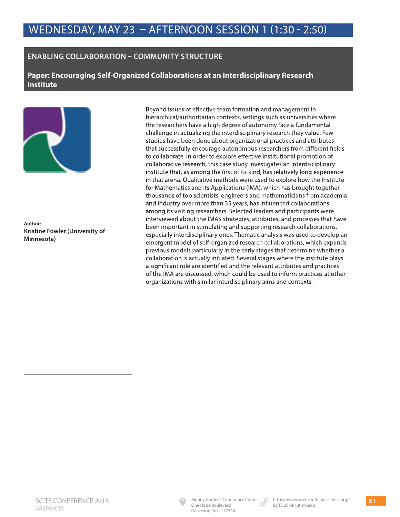## **ENABLING COLLABORATION – COMMUNITY STRUCTURE**

**Paper: Encouraging Self-Organized Collaborations at an Interdisciplinary Research Institute**



**Author: Kristine Fowler (University of Minnesota)**

Beyond issues of effective team formation and management in hierarchical/authoritarian contexts, settings such as universities where the researchers have a high degree of autonomy face a fundamental challenge in actualizing the interdisciplinary research they value. Few studies have been done about organizational practices and attributes that successfully encourage autonomous researchers from different fields to collaborate. In order to explore effective institutional promotion of collaborative research, this case study investigates an interdisciplinary institute that, as among the first of its kind, has relatively long experience in that arena. Qualitative methods were used to explore how the Institute for Mathematics and its Applications (IMA), which has brought together thousands of top scientists, engineers and mathematicians from academia and industry over more than 35 years, has influenced collaborations among its visiting researchers. Selected leaders and participants were interviewed about the IMA's strategies, attributes, and processes that have been important in stimulating and supporting research collaborations, especially interdisciplinary ones. Thematic analysis was used to develop an emergent model of self-organized research collaborations, which expands previous models particularly in the early stages that determine whether a collaboration is actually initiated. Several stages where the institute plays a significant role are identified and the relevant attributes and practices of the IMA are discussed, which could be used to inform practices at other organizations with similar interdisciplinary aims and contexts.

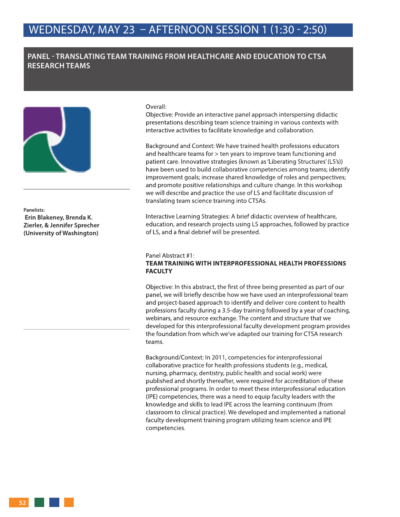### **PANEL - TRANSLATING TEAM TRAINING FROM HEALTHCARE AND EDUCATION TO CTSA RESEARCH TEAMS**



**Panelists: Erin Blakeney, Brenda K. Zierler, & Jennifer Sprecher (University of Washington)**

Overall:

Objective: Provide an interactive panel approach interspersing didactic presentations describing team science training in various contexts with interactive activities to facilitate knowledge and collaboration.

Background and Context: We have trained health professions educators and healthcare teams for > ten years to improve team functioning and patient care. Innovative strategies (known as 'Liberating Structures' (LS's)) have been used to build collaborative competencies among teams; identify improvement goals; increase shared knowledge of roles and perspectives; and promote positive relationships and culture change. In this workshop we will describe and practice the use of LS and facilitate discussion of translating team science training into CTSAs.

Interactive Learning Strategies: A brief didactic overview of healthcare, education, and research projects using LS approaches, followed by practice of LS, and a final debrief will be presented.

#### Panel Abstract #1:

### **TEAM TRAINING WITH INTERPROFESSIONAL HEALTH PROFESSIONS FACULTY**

Objective: In this abstract, the first of three being presented as part of our panel, we will briefly describe how we have used an interprofessional team and project-based approach to identify and deliver core content to health professions faculty during a 3.5-day training followed by a year of coaching, webinars, and resource exchange. The content and structure that we developed for this interprofessional faculty development program provides the foundation from which we've adapted our training for CTSA research teams.

Background/Context: In 2011, competencies for interprofessional collaborative practice for health professions students (e.g., medical, nursing, pharmacy, dentistry, public health and social work) were published and shortly thereafter, were required for accreditation of these professional programs. In order to meet these interprofessional education (IPE) competencies, there was a need to equip faculty leaders with the knowledge and skills to lead IPE across the learning continuum (from classroom to clinical practice). We developed and implemented a national faculty development training program utilizing team science and IPE competencies.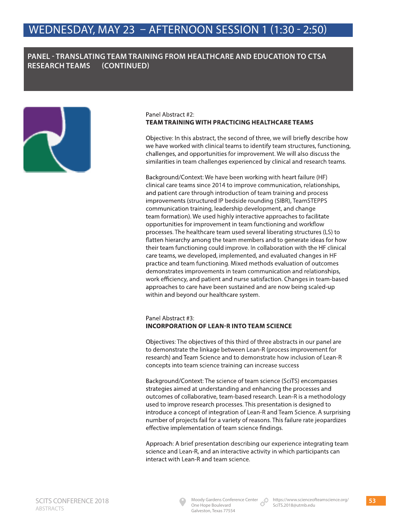## **PANEL - TRANSLATING TEAM TRAINING FROM HEALTHCARE AND EDUCATION TO CTSA RESEARCH TEAMS (CONTINUED)**



### Panel Abstract #2: **TEAM TRAINING WITH PRACTICING HEALTHCARE TEAMS**

Objective: In this abstract, the second of three, we will briefly describe how we have worked with clinical teams to identify team structures, functioning, challenges, and opportunities for improvement. We will also discuss the similarities in team challenges experienced by clinical and research teams.

Background/Context: We have been working with heart failure (HF) clinical care teams since 2014 to improve communication, relationships, and patient care through introduction of team training and process improvements (structured IP bedside rounding (SIBR), TeamSTEPPS communication training, leadership development, and change team formation). We used highly interactive approaches to facilitate opportunities for improvement in team functioning and workflow processes. The healthcare team used several liberating structures (LS) to flatten hierarchy among the team members and to generate ideas for how their team functioning could improve. In collaboration with the HF clinical care teams, we developed, implemented, and evaluated changes in HF practice and team functioning. Mixed methods evaluation of outcomes demonstrates improvements in team communication and relationships, work efficiency, and patient and nurse satisfaction. Changes in team-based approaches to care have been sustained and are now being scaled-up within and beyond our healthcare system.

### Panel Abstract #3: **INCORPORATION OF LEAN-R INTO TEAM SCIENCE**

Objectives: The objectives of this third of three abstracts in our panel are to demonstrate the linkage between Lean-R (process improvement for research) and Team Science and to demonstrate how inclusion of Lean-R concepts into team science training can increase success

Background/Context: The science of team science (SciTS) encompasses strategies aimed at understanding and enhancing the processes and outcomes of collaborative, team-based research. Lean-R is a methodology used to improve research processes. This presentation is designed to introduce a concept of integration of Lean-R and Team Science. A surprising number of projects fail for a variety of reasons. This failure rate jeopardizes effective implementation of team science findings.

Approach: A brief presentation describing our experience integrating team science and Lean-R, and an interactive activity in which participants can interact with Lean-R and team science.

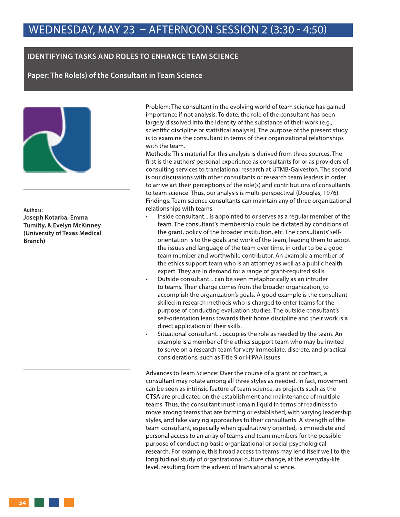### **IDENTIFYING TASKS AND ROLES TO ENHANCE TEAM SCIENCE**

**Paper: The Role(s) of the Consultant in Team Science**



**Authors: Joseph Kotarba, Emma Tumilty, & Evelyn McKinney (University of Texas Medical Branch)**

Problem: The consultant in the evolving world of team science has gained importance if not analysis. To date, the role of the consultant has been largely dissolved into the identity of the substance of their work (e.g., scientific discipline or statistical analysis). The purpose of the present study is to examine the consultant in terms of their organizational relationships with the team.

Methods: This material for this analysis is derived from three sources. The first is the authors' personal experience as consultants for or as providers of consulting services to translational research at UTMB-Galveston. The second is our discussions with other consultants or research team leaders in order to arrive art their perceptions of the role(s) and contributions of consultants to team science. Thus, our analysis is multi-perspectival (Douglas, 1976). Findings: Team science consultants can maintain any of three organizational relationships with teams:

- Inside consultant... is appointed to or serves as a regular member of the team. The consultant's membership could be dictated by conditions of the grant, policy of the broader institution, etc. The consultants' selforientation is to the goals and work of the team, leading them to adopt the issues and language of the team over time, in order to be a good team member and worthwhile contributor. An example a member of the ethics support team who is an attorney as well as a public health expert. They are in demand for a range of grant-required skills.
- Outside consultant... can be seen metaphorically as an intruder to teams. Their charge comes from the broader organization, to accomplish the organization's goals. A good example is the consultant skilled in research methods who is charged to enter teams for the purpose of conducting evaluation studies. The outside consultant's self-orientation leans towards their home discipline and their work is a direct application of their skills.
- Situational consultant... occupies the role as needed by the team. An example is a member of the ethics support team who may be invited to serve on a research team for very immediate, discrete, and practical considerations, such as Title 9 or HIPAA issues.

Advances to Team Science: Over the course of a grant or contract, a consultant may rotate among all three styles as needed. In fact, movement can be seen as intrinsic feature of team science, as projects such as the CTSA are predicated on the establishment and maintenance of multiple teams. Thus, the consultant must remain liquid in terms of readiness to move among teams that are forming or established, with varying leadership styles, and take varying approaches to their consultants. A strength of the team consultant, especially when qualitatively oriented, is immediate and personal access to an array of teams and team members for the possible purpose of conducting basic organizational or social psychological research. For example, this broad access to teams may lend itself well to the longitudinal study of organizational culture change, at the everyday-life level, resulting from the advent of translational science.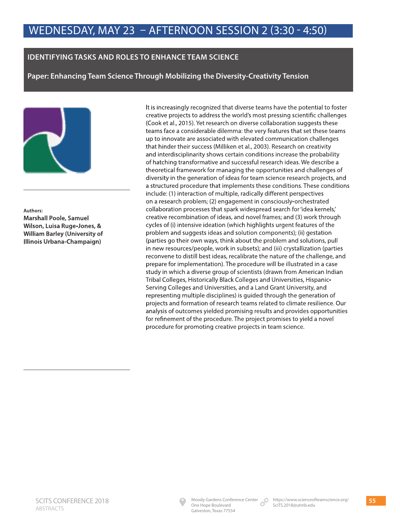### **IDENTIFYING TASKS AND ROLES TO ENHANCE TEAM SCIENCE**

**Paper: Enhancing Team Science Through Mobilizing the Diversity-Creativity Tension** 



**Authors: Marshall Poole, Samuel Wilson, Luisa Ruge-Jones, & William Barley (University of Illinois Urbana-Champaign)** 

It is increasingly recognized that diverse teams have the potential to foster creative projects to address the world's most pressing scientific challenges (Cook et al., 2015). Yet research on diverse collaboration suggests these teams face a considerable dilemma: the very features that set these teams up to innovate are associated with elevated communication challenges that hinder their success (Milliken et al., 2003). Research on creativity and interdisciplinarity shows certain conditions increase the probability of hatching transformative and successful research ideas. We describe a theoretical framework for managing the opportunities and challenges of diversity in the generation of ideas for team science research projects, and a structured procedure that implements these conditions. These conditions include: (1) interaction of multiple, radically different perspectives on a research problem; (2) engagement in consciously-orchestrated collaboration processes that spark widespread search for 'idea kernels,' creative recombination of ideas, and novel frames; and (3) work through cycles of (i) intensive ideation (which highlights urgent features of the problem and suggests ideas and solution components); (ii) gestation (parties go their own ways, think about the problem and solutions, pull in new resources/people, work in subsets); and (iii) crystallization (parties reconvene to distill best ideas, recalibrate the nature of the challenge, and prepare for implementation). The procedure will be illustrated in a case study in which a diverse group of scientists (drawn from American Indian Tribal Colleges, Historically Black Colleges and Universities, Hispanic-Serving Colleges and Universities, and a Land Grant University, and representing multiple disciplines) is guided through the generation of projects and formation of research teams related to climate resilience. Our analysis of outcomes yielded promising results and provides opportunities for refinement of the procedure. The project promises to yield a novel procedure for promoting creative projects in team science.

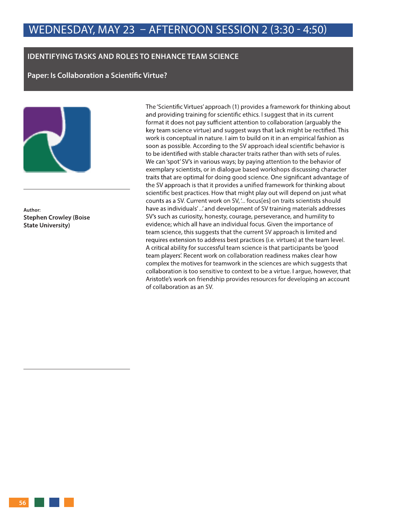### **IDENTIFYING TASKS AND ROLES TO ENHANCE TEAM SCIENCE**

**Paper: Is Collaboration a Scientific Virtue?** 



**Author: Stephen Crowley (Boise State University)**

The 'Scientific Virtues' approach (1) provides a framework for thinking about and providing training for scientific ethics. I suggest that in its current format it does not pay sufficient attention to collaboration (arguably the key team science virtue) and suggest ways that lack might be rectified. This work is conceptual in nature. I aim to build on it in an empirical fashion as soon as possible. According to the SV approach ideal scientific behavior is to be identified with stable character traits rather than with sets of rules. We can 'spot' SV's in various ways; by paying attention to the behavior of exemplary scientists, or in dialogue based workshops discussing character traits that are optimal for doing good science. One significant advantage of the SV approach is that it provides a unified framework for thinking about scientific best practices. How that might play out will depend on just what counts as a SV. Current work on SV, '... focus[es] on traits scientists should have as individuals' ...' and development of SV training materials addresses SV's such as curiosity, honesty, courage, perseverance, and humility to evidence; which all have an individual focus. Given the importance of team science, this suggests that the current SV approach is limited and requires extension to address best practices (i.e. virtues) at the team level. A critical ability for successful team science is that participants be 'good team players'. Recent work on collaboration readiness makes clear how complex the motives for teamwork in the sciences are which suggests that collaboration is too sensitive to context to be a virtue. I argue, however, that Aristotle's work on friendship provides resources for developing an account of collaboration as an SV.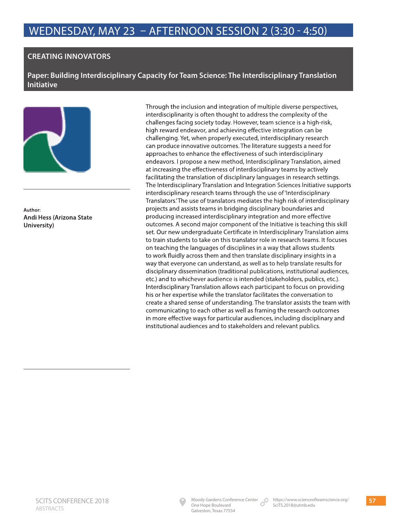# WEDNESDAY, MAY 23 – AFTERNOON SESSION 2 (3:30 - 4:50) WEDNESDAY, MAY 23 – AFTERNOON SESSION 2 (3:30 - 4:50)

### **CREATING INNOVATORS**

**Paper: Building Interdisciplinary Capacity for Team Science: The Interdisciplinary Translation Initiative**



**Author: Andi Hess (Arizona State University)**

Through the inclusion and integration of multiple diverse perspectives, interdisciplinarity is often thought to address the complexity of the challenges facing society today. However, team science is a high-risk, high reward endeavor, and achieving effective integration can be challenging. Yet, when properly executed, interdisciplinary research can produce innovative outcomes. The literature suggests a need for approaches to enhance the effectiveness of such interdisciplinary endeavors. I propose a new method, Interdisciplinary Translation, aimed at increasing the effectiveness of interdisciplinary teams by actively facilitating the translation of disciplinary languages in research settings. The Interdisciplinary Translation and Integration Sciences Initiative supports interdisciplinary research teams through the use of 'Interdisciplinary Translators.' The use of translators mediates the high risk of interdisciplinary projects and assists teams in bridging disciplinary boundaries and producing increased interdisciplinary integration and more effective outcomes. A second major component of the Initiative is teaching this skill set. Our new undergraduate Certificate in Interdisciplinary Translation aims to train students to take on this translator role in research teams. It focuses on teaching the languages of disciplines in a way that allows students to work fluidly across them and then translate disciplinary insights in a way that everyone can understand, as well as to help translate results for disciplinary dissemination (traditional publications, institutional audiences, etc.) and to whichever audience is intended (stakeholders, publics, etc.). Interdisciplinary Translation allows each participant to focus on providing his or her expertise while the translator facilitates the conversation to create a shared sense of understanding. The translator assists the team with communicating to each other as well as framing the research outcomes in more effective ways for particular audiences, including disciplinary and institutional audiences and to stakeholders and relevant publics.

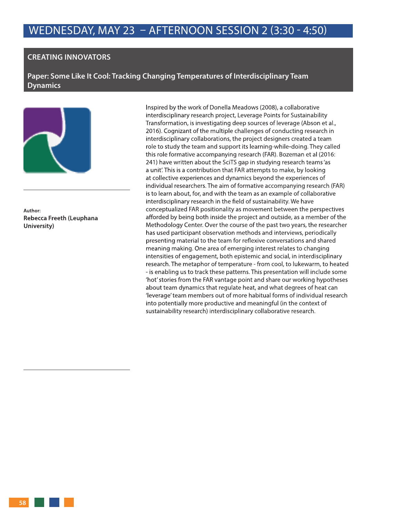### **CREATING INNOVATORS**

**Paper: Some Like It Cool: Tracking Changing Temperatures of Interdisciplinary Team Dynamics**



**Author: Rebecca Freeth (Leuphana University)** 

Inspired by the work of Donella Meadows (2008), a collaborative interdisciplinary research project, Leverage Points for Sustainability Transformation, is investigating deep sources of leverage (Abson et al., 2016). Cognizant of the multiple challenges of conducting research in interdisciplinary collaborations, the project designers created a team role to study the team and support its learning-while-doing. They called this role formative accompanying research (FAR). Bozeman et al (2016: 241) have written about the SciTS gap in studying research teams 'as a unit'. This is a contribution that FAR attempts to make, by looking at collective experiences and dynamics beyond the experiences of individual researchers. The aim of formative accompanying research (FAR) is to learn about, for, and with the team as an example of collaborative interdisciplinary research in the field of sustainability. We have conceptualized FAR positionality as movement between the perspectives afforded by being both inside the project and outside, as a member of the Methodology Center. Over the course of the past two years, the researcher has used participant observation methods and interviews, periodically presenting material to the team for reflexive conversations and shared meaning making. One area of emerging interest relates to changing intensities of engagement, both epistemic and social, in interdisciplinary research. The metaphor of temperature - from cool, to lukewarm, to heated - is enabling us to track these patterns. This presentation will include some 'hot' stories from the FAR vantage point and share our working hypotheses about team dynamics that regulate heat, and what degrees of heat can 'leverage' team members out of more habitual forms of individual research into potentially more productive and meaningful (in the context of sustainability research) interdisciplinary collaborative research.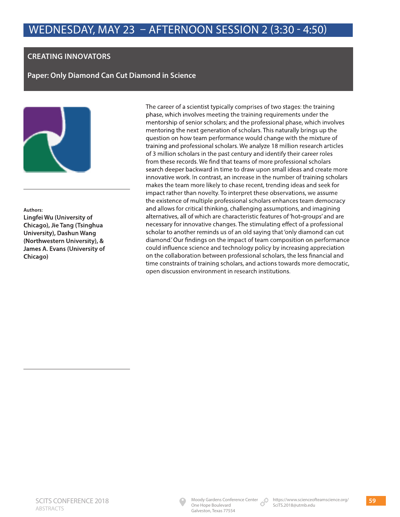## **CREATING INNOVATORS**

**Paper: Only Diamond Can Cut Diamond in Science** 



**Authors: Lingfei Wu (University of Chicago), Jie Tang (Tsinghua University), Dashun Wang (Northwestern University), & James A. Evans (University of Chicago)**

The career of a scientist typically comprises of two stages: the training phase, which involves meeting the training requirements under the mentorship of senior scholars; and the professional phase, which involves mentoring the next generation of scholars. This naturally brings up the question on how team performance would change with the mixture of training and professional scholars. We analyze 18 million research articles of 3 million scholars in the past century and identify their career roles from these records. We find that teams of more professional scholars search deeper backward in time to draw upon small ideas and create more innovative work. In contrast, an increase in the number of training scholars makes the team more likely to chase recent, trending ideas and seek for impact rather than novelty. To interpret these observations, we assume the existence of multiple professional scholars enhances team democracy and allows for critical thinking, challenging assumptions, and imagining alternatives, all of which are characteristic features of 'hot-groups' and are necessary for innovative changes. The stimulating effect of a professional scholar to another reminds us of an old saying that 'only diamond can cut diamond.' Our findings on the impact of team composition on performance could influence science and technology policy by increasing appreciation on the collaboration between professional scholars, the less financial and time constraints of training scholars, and actions towards more democratic, open discussion environment in research institutions.

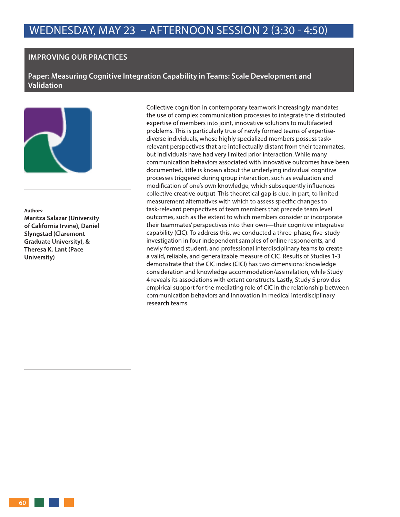### **IMPROVING OUR PRACTICES**

**Paper: Measuring Cognitive Integration Capability in Teams: Scale Development and Validation** 



**Authors: Maritza Salazar (University of California Irvine), Daniel Slyngstad (Claremont Graduate University), & Theresa K. Lant (Pace University)**

Collective cognition in contemporary teamwork increasingly mandates the use of complex communication processes to integrate the distributed expertise of members into joint, innovative solutions to multifaceted problems. This is particularly true of newly formed teams of expertisediverse individuals, whose highly specialized members possess taskrelevant perspectives that are intellectually distant from their teammates, but individuals have had very limited prior interaction. While many communication behaviors associated with innovative outcomes have been documented, little is known about the underlying individual cognitive processes triggered during group interaction, such as evaluation and modification of one's own knowledge, which subsequently influences collective creative output. This theoretical gap is due, in part, to limited measurement alternatives with which to assess specific changes to task-relevant perspectives of team members that precede team level outcomes, such as the extent to which members consider or incorporate their teammates' perspectives into their own—their cognitive integrative capability (CIC). To address this, we conducted a three-phase, five-study investigation in four independent samples of online respondents, and newly formed student, and professional interdisciplinary teams to create a valid, reliable, and generalizable measure of CIC. Results of Studies 1-3 demonstrate that the CIC index (CICI) has two dimensions: knowledge consideration and knowledge accommodation/assimilation, while Study 4 reveals its associations with extant constructs. Lastly, Study 5 provides empirical support for the mediating role of CIC in the relationship between communication behaviors and innovation in medical interdisciplinary research teams.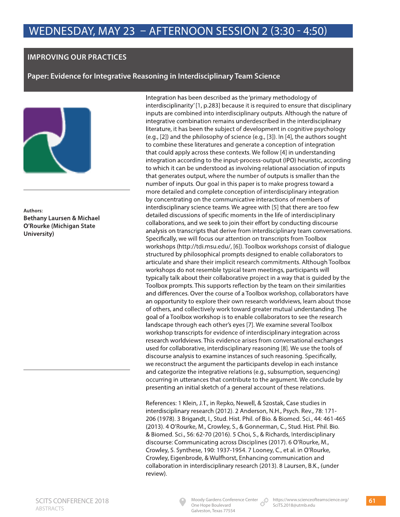### **IMPROVING OUR PRACTICES**

**Paper: Evidence for Integrative Reasoning in Interdisciplinary Team Science** 



**Authors: Bethany Laursen & Michael O'Rourke (Michigan State University)**

Integration has been described as the 'primary methodology of interdisciplinarity' [1, p.283] because it is required to ensure that disciplinary inputs are combined into interdisciplinary outputs. Although the nature of integrative combination remains underdescribed in the interdisciplinary literature, it has been the subject of development in cognitive psychology (e.g., [2]) and the philosophy of science (e.g., [3]). In [4], the authors sought to combine these literatures and generate a conception of integration that could apply across these contexts. We follow [4] in understanding integration according to the input-process-output (IPO) heuristic, according to which it can be understood as involving relational association of inputs that generates output, where the number of outputs is smaller than the number of inputs. Our goal in this paper is to make progress toward a more detailed and complete conception of interdisciplinary integration by concentrating on the communicative interactions of members of interdisciplinary science teams. We agree with [5] that there are too few detailed discussions of specific moments in the life of interdisciplinary collaborations, and we seek to join their effort by conducting discourse analysis on transcripts that derive from interdisciplinary team conversations. Specifically, we will focus our attention on transcripts from Toolbox workshops (http://tdi.msu.edu/, [6]). Toolbox workshops consist of dialogue structured by philosophical prompts designed to enable collaborators to articulate and share their implicit research commitments. Although Toolbox workshops do not resemble typical team meetings, participants will typically talk about their collaborative project in a way that is guided by the Toolbox prompts. This supports reflection by the team on their similarities and differences. Over the course of a Toolbox workshop, collaborators have an opportunity to explore their own research worldviews, learn about those of others, and collectively work toward greater mutual understanding. The goal of a Toolbox workshop is to enable collaborators to see the research landscape through each other's eyes [7]. We examine several Toolbox workshop transcripts for evidence of interdisciplinary integration across research worldviews. This evidence arises from conversational exchanges used for collaborative, interdisciplinary reasoning [8]. We use the tools of discourse analysis to examine instances of such reasoning. Specifically, we reconstruct the argument the participants develop in each instance and categorize the integrative relations (e.g., subsumption, sequencing) occurring in utterances that contribute to the argument. We conclude by presenting an initial sketch of a general account of these relations.

References: 1 Klein, J.T., in Repko, Newell, & Szostak, Case studies in interdisciplinary research (2012). 2 Anderson, N.H., Psych. Rev., 78: 171- 206 (1978). 3 Brigandt, I., Stud. Hist. Phil. of Bio. & Biomed. Sci., 44: 461-465 (2013). 4 O'Rourke, M., Crowley, S., & Gonnerman, C., Stud. Hist. Phil. Bio. & Biomed. Sci., 56: 62-70 (2016). 5 Choi, S., & Richards, Interdisciplinary discourse: Communicating across Disciplines (2017). 6 O'Rourke, M., Crowley, S. Synthese, 190: 1937-1954. 7 Looney, C., et al. in O'Rourke, Crowley, Eigenbrode, & Wulfhorst, Enhancing communication and collaboration in interdisciplinary research (2013). 8 Laursen, B.K., (under review).



One Hope Boulevard Galveston, Texas 77554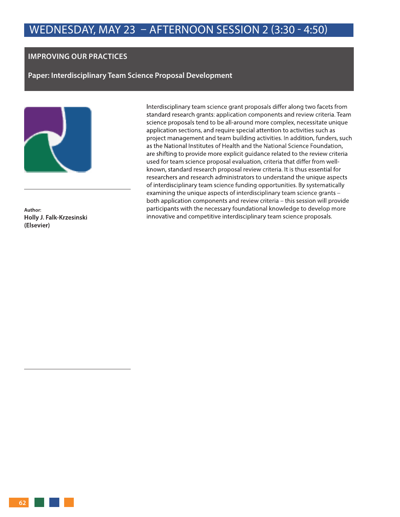### **IMPROVING OUR PRACTICES**

**Paper: Interdisciplinary Team Science Proposal Development** 



**Author: Holly J. Falk-Krzesinski (Elsevier)** 

Interdisciplinary team science grant proposals differ along two facets from standard research grants: application components and review criteria. Team science proposals tend to be all-around more complex, necessitate unique application sections, and require special attention to activities such as project management and team building activities. In addition, funders, such as the National Institutes of Health and the National Science Foundation, are shifting to provide more explicit guidance related to the review criteria used for team science proposal evaluation, criteria that differ from wellknown, standard research proposal review criteria. It is thus essential for researchers and research administrators to understand the unique aspects of interdisciplinary team science funding opportunities. By systematically examining the unique aspects of interdisciplinary team science grants – both application components and review criteria – this session will provide participants with the necessary foundational knowledge to develop more innovative and competitive interdisciplinary team science proposals.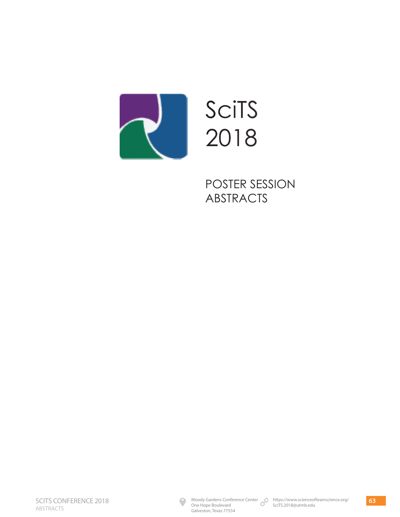

SciTS 2018

POSTER SESSION ABSTRACTS

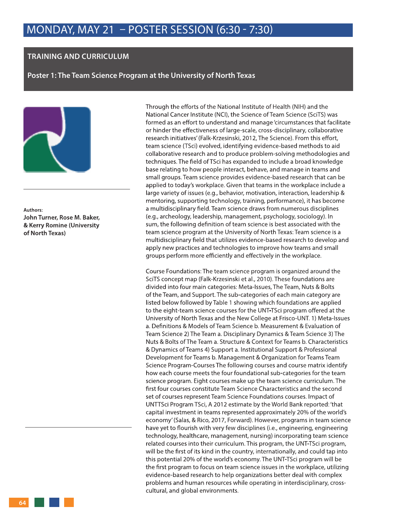### **TRAINING AND CURRICULUM**

**Poster 1: The Team Science Program at the University of North Texas**



**Authors: John Turner, Rose M. Baker, & Kerry Romine (University of North Texas)**

Through the efforts of the National Institute of Health (NIH) and the National Cancer Institute (NCI), the Science of Team Science (SciTS) was formed as an effort to understand and manage 'circumstances that facilitate or hinder the effectiveness of large-scale, cross-disciplinary, collaborative research initiatives' (Falk-Krzesinski, 2012, The Science). From this effort, team science (TSci) evolved, identifying evidence-based methods to aid collaborative research and to produce problem-solving methodologies and techniques. The field of TSci has expanded to include a broad knowledge base relating to how people interact, behave, and manage in teams and small groups. Team science provides evidence-based research that can be applied to today's workplace. Given that teams in the workplace include a large variety of issues (e.g., behavior, motivation, interaction, leadership & mentoring, supporting technology, training, performance), it has become a multidisciplinary field. Team science draws from numerous disciplines (e.g., archeology, leadership, management, psychology, sociology). In sum, the following definition of team science is best associated with the team science program at the University of North Texas: Team science is a multidisciplinary field that utilizes evidence-based research to develop and apply new practices and technologies to improve how teams and small groups perform more efficiently and effectively in the workplace.

Course Foundations: The team science program is organized around the SciTS concept map (Falk-Krzesinski et al., 2010). These foundations are divided into four main categories: Meta-Issues, The Team, Nuts & Bolts of the Team, and Support. The sub-categories of each main category are listed below followed by Table 1 showing which foundations are applied to the eight-team science courses for the UNT-TSci program offered at the University of North Texas and the New College at Frisco-UNT. 1) Meta-Issues a. Definitions & Models of Team Science b. Measurement & Evaluation of Team Science 2) The Team a. Disciplinary Dynamics & Team Science 3) The Nuts & Bolts of The Team a. Structure & Context for Teams b. Characteristics & Dynamics of Teams 4) Support a. Institutional Support & Professional Development for Teams b. Management & Organization for Teams Team Science Program-Courses The following courses and course matrix identify how each course meets the four foundational sub-categories for the team science program. Eight courses make up the team science curriculum. The first four courses constitute Team Science Characteristics and the second set of courses represent Team Science Foundations courses. Impact of UNTTSci Program TSci, A 2012 estimate by the World Bank reported: 'that capital investment in teams represented approximately 20% of the world's economy' (Salas, & Rico, 2017, Forward). However, programs in team science have yet to flourish with very few disciplines (i.e., engineering, engineering technology, healthcare, management, nursing) incorporating team science related courses into their curriculum. This program, the UNT-TSci program, will be the first of its kind in the country, internationally, and could tap into this potential 20% of the world's economy. The UNT-TSci program will be the first program to focus on team science issues in the workplace, utilizing evidence-based research to help organizations better deal with complex problems and human resources while operating in interdisciplinary, crosscultural, and global environments.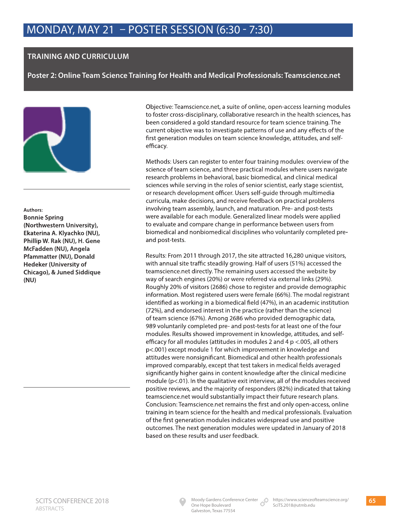## **TRAINING AND CURRICULUM**

**Poster 2: Online Team Science Training for Health and Medical Professionals: Teamscience.net**



**Authors: Bonnie Spring (Northwestern University), Ekaterina A. Klyachko (NU), Phillip W. Rak (NU), H. Gene McFadden (NU), Angela Pfammatter (NU), Donald Hedeker (University of Chicago), & Juned Siddique (NU)**

Objective: Teamscience.net, a suite of online, open-access learning modules to foster cross-disciplinary, collaborative research in the health sciences, has been considered a gold standard resource for team science training. The current objective was to investigate patterns of use and any effects of the first generation modules on team science knowledge, attitudes, and selfefficacy.

Methods: Users can register to enter four training modules: overview of the science of team science, and three practical modules where users navigate research problems in behavioral, basic biomedical, and clinical medical sciences while serving in the roles of senior scientist, early stage scientist, or research development officer. Users self-guide through multimedia curricula, make decisions, and receive feedback on practical problems involving team assembly, launch, and maturation. Pre- and post-tests were available for each module. Generalized linear models were applied to evaluate and compare change in performance between users from biomedical and nonbiomedical disciplines who voluntarily completed preand post-tests.

Results: From 2011 through 2017, the site attracted 16,280 unique visitors, with annual site traffic steadily growing. Half of users (51%) accessed the teamscience.net directly. The remaining users accessed the website by way of search engines (20%) or were referred via external links (29%). Roughly 20% of visitors (2686) chose to register and provide demographic information. Most registered users were female (66%). The modal registrant identified as working in a biomedical field (47%), in an academic institution (72%), and endorsed interest in the practice (rather than the science) of team science (67%). Among 2686 who provided demographic data, 989 voluntarily completed pre- and post-tests for at least one of the four modules. Results showed improvement in knowledge, attitudes, and selfefficacy for all modules (attitudes in modules 2 and 4 p <.005, all others p<.001) except module 1 for which improvement in knowledge and attitudes were nonsignificant. Biomedical and other health professionals improved comparably, except that test takers in medical fields averaged significantly higher gains in content knowledge after the clinical medicine module (p<.01). In the qualitative exit interview, all of the modules received positive reviews, and the majority of responders (82%) indicated that taking teamscience.net would substantially impact their future research plans. Conclusion: Teamscience.net remains the first and only open-access, online training in team science for the health and medical professionals. Evaluation of the first generation modules indicates widespread use and positive outcomes. The next generation modules were updated in January of 2018 based on these results and user feedback.

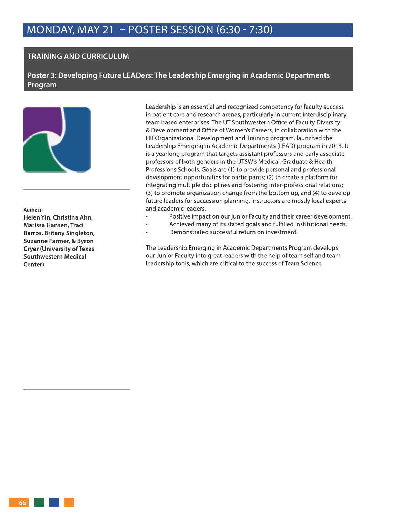### **TRAINING AND CURRICULUM**

**Poster 3: Developing Future LEADers: The Leadership Emerging in Academic Departments Program**



**Authors:** 

**Helen Yin, Christina Ahn, Marissa Hansen, Traci Barros, Britany Singleton, Suzanne Farmer, & Byron Cryer (University of Texas Southwestern Medical Center)**

Leadership is an essential and recognized competency for faculty success in patient care and research arenas, particularly in current interdisciplinary team based enterprises. The UT Southwestern Office of Faculty Diversity & Development and Office of Women's Careers, in collaboration with the HR Organizational Development and Training program, launched the Leadership Emerging in Academic Departments (LEAD) program in 2013. It is a yearlong program that targets assistant professors and early associate professors of both genders in the UTSW's Medical, Graduate & Health Professions Schools. Goals are (1) to provide personal and professional development opportunities for participants; (2) to create a platform for integrating multiple disciplines and fostering inter-professional relations; (3) to promote organization change from the bottom up, and (4) to develop future leaders for succession planning. Instructors are mostly local experts and academic leaders.

- Positive impact on our junior Faculty and their career development.
- Achieved many of its stated goals and fulfilled institutional needs.
- Demonstrated successful return on investment.

The Leadership Emerging in Academic Departments Program develops our Junior Faculty into great leaders with the help of team self and team leadership tools, which are critical to the success of Team Science.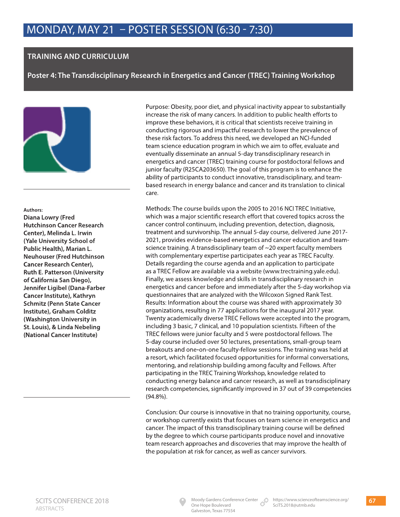## **TRAINING AND CURRICULUM**

**Poster 4: The Transdisciplinary Research in Energetics and Cancer (TREC) Training Workshop**



### **Authors:**

**Diana Lowry (Fred Hutchinson Cancer Research Center), Melinda L. Irwin (Yale University School of Public Health), Marian L. Neuhouser (Fred Hutchinson Cancer Research Center), Ruth E. Patterson (University of California San Diego), Jennifer Ligibel (Dana-Farber Cancer Institute), Kathryn Schmitz (Penn State Cancer Institute), Graham Colditz (Washington University in St. Louis), & Linda Nebeling (National Cancer Institute)**

Purpose: Obesity, poor diet, and physical inactivity appear to substantially increase the risk of many cancers. In addition to public health efforts to improve these behaviors, it is critical that scientists receive training in conducting rigorous and impactful research to lower the prevalence of these risk factors. To address this need, we developed an NCI-funded team science education program in which we aim to offer, evaluate and eventually disseminate an annual 5-day transdisciplinary research in energetics and cancer (TREC) training course for postdoctoral fellows and junior faculty (R25CA203650). The goal of this program is to enhance the ability of participants to conduct innovative, transdisciplinary, and teambased research in energy balance and cancer and its translation to clinical care.

Methods: The course builds upon the 2005 to 2016 NCI TREC Initiative, which was a major scientific research effort that covered topics across the cancer control continuum, including prevention, detection, diagnosis, treatment and survivorship. The annual 5-day course, delivered June 2017- 2021, provides evidence-based energetics and cancer education and teamscience training. A transdisciplinary team of ~20 expert faculty members with complementary expertise participates each year as TREC Faculty. Details regarding the course agenda and an application to participate as a TREC Fellow are available via a website (www.trectraining.yale.edu). Finally, we assess knowledge and skills in transdisciplinary research in energetics and cancer before and immediately after the 5-day workshop via questionnaires that are analyzed with the Wilcoxon Signed Rank Test. Results: Information about the course was shared with approximately 30 organizations, resulting in 77 applications for the inaugural 2017 year. Twenty academically diverse TREC Fellows were accepted into the program, including 3 basic, 7 clinical, and 10 population scientists. Fifteen of the TREC fellows were junior faculty and 5 were postdoctoral fellows. The 5-day course included over 50 lectures, presentations, small-group team breakouts and one-on-one faculty-fellow sessions. The training was held at a resort, which facilitated focused opportunities for informal conversations, mentoring, and relationship building among faculty and Fellows. After participating in the TREC Training Workshop, knowledge related to conducting energy balance and cancer research, as well as transdisciplinary research competencies, significantly improved in 37 out of 39 competencies (94.8%).

Conclusion: Our course is innovative in that no training opportunity, course, or workshop currently exists that focuses on team science in energetics and cancer. The impact of this transdisciplinary training course will be defined by the degree to which course participants produce novel and innovative team research approaches and discoveries that may improve the health of the population at risk for cancer, as well as cancer survivors.



One Hope Boulevard Galveston, Texas 77554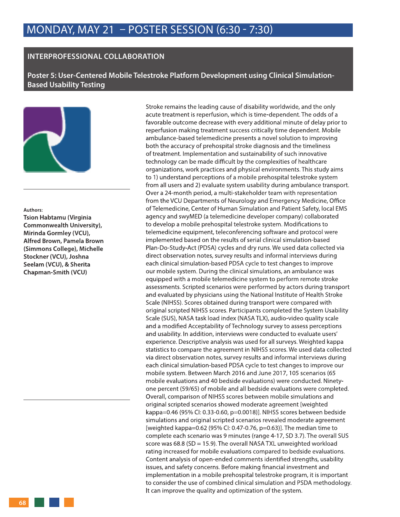### **INTERPROFESSIONAL COLLABORATION**

**Poster 5: User-Centered Mobile Telestroke Platform Development using Clinical Simulation-Based Usability Testing**



#### **Authors:**

**Tsion Habtamu (Virginia Commonwealth University), Mirinda Gormley (VCU), Alfred Brown, Pamela Brown (Simmons College), Michelle Stockner (VCU), Joshna Seelam (VCU), & Sherita Chapman-Smith (VCU)**

Stroke remains the leading cause of disability worldwide, and the only acute treatment is reperfusion, which is time-dependent. The odds of a favorable outcome decrease with every additional minute of delay prior to reperfusion making treatment success critically time dependent. Mobile ambulance-based telemedicine presents a novel solution to improving both the accuracy of prehospital stroke diagnosis and the timeliness of treatment. Implementation and sustainability of such innovative technology can be made difficult by the complexities of healthcare organizations, work practices and physical environments. This study aims to 1) understand perceptions of a mobile prehospital telestroke system from all users and 2) evaluate system usability during ambulance transport. Over a 24-month period, a multi-stakeholder team with representation from the VCU Departments of Neurology and Emergency Medicine, Office of Telemedicine, Center of Human Simulation and Patient Safety, local EMS agency and swyMED (a telemedicine developer company) collaborated to develop a mobile prehospital telestroke system. Modifications to telemedicine equipment, teleconferencing software and protocol were implemented based on the results of serial clinical simulation-based Plan-Do-Study-Act (PDSA) cycles and dry runs. We used data collected via direct observation notes, survey results and informal interviews during each clinical simulation-based PDSA cycle to test changes to improve our mobile system. During the clinical simulations, an ambulance was equipped with a mobile telemedicine system to perform remote stroke assessments. Scripted scenarios were performed by actors during transport and evaluated by physicians using the National Institute of Health Stroke Scale (NIHSS). Scores obtained during transport were compared with original scripted NIHSS scores. Participants completed the System Usability Scale (SUS), NASA task load index (NASA TLX), audio-video quality scale and a modified Acceptability of Technology survey to assess perceptions and usability. In addition, interviews were conducted to evaluate users' experience. Descriptive analysis was used for all surveys. Weighted kappa statistics to compare the agreement in NIHSS scores. We used data collected via direct observation notes, survey results and informal interviews during each clinical simulation-based PDSA cycle to test changes to improve our mobile system. Between March 2016 and June 2017, 105 scenarios (65 mobile evaluations and 40 bedside evaluations) were conducted. Ninetyone percent (59/65) of mobile and all bedside evaluations were completed. Overall, comparison of NIHSS scores between mobile simulations and original scripted scenarios showed moderate agreement [weighted kappa=0.46 (95% CI: 0.33-0.60, p=0.0018)]. NIHSS scores between bedside simulations and original scripted scenarios revealed moderate agreement [weighted kappa=0.62 (95% CI: 0.47-0.76, p=0.63)]. The median time to complete each scenario was 9 minutes (range 4-17, SD 3.7). The overall SUS score was 68.8 (SD = 15.9). The overall NASA TXL unweighted workload rating increased for mobile evaluations compared to bedside evaluations. Content analysis of open-ended comments identified strengths, usability issues, and safety concerns. Before making financial investment and implementation in a mobile prehospital telestroke program, it is important to consider the use of combined clinical simulation and PSDA methodology. It can improve the quality and optimization of the system.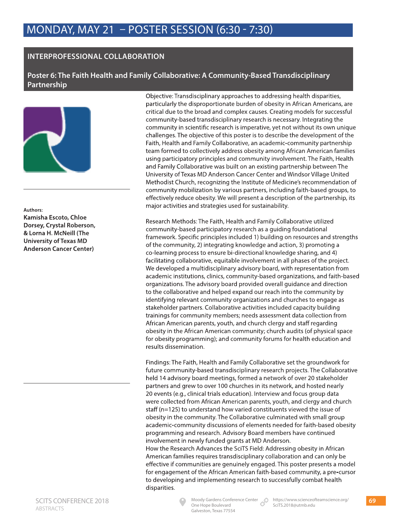## **INTERPROFESSIONAL COLLABORATION**

**Poster 6: The Faith Health and Family Collaborative: A Community-Based Transdisciplinary Partnership**



**Authors: Kamisha Escoto, Chloe Dorsey, Crystal Roberson, & Lorna H. McNeill (The University of Texas MD Anderson Cancer Center)**

Objective: Transdisciplinary approaches to addressing health disparities, particularly the disproportionate burden of obesity in African Americans, are critical due to the broad and complex causes. Creating models for successful community-based transdisciplinary research is necessary. Integrating the community in scientific research is imperative, yet not without its own unique challenges. The objective of this poster is to describe the development of the Faith, Health and Family Collaborative, an academic-community partnership team formed to collectively address obesity among African American families using participatory principles and community involvement. The Faith, Health and Family Collaborative was built on an existing partnership between The University of Texas MD Anderson Cancer Center and Windsor Village United Methodist Church, recognizing the Institute of Medicine's recommendation of community mobilization by various partners, including faith-based groups, to effectively reduce obesity. We will present a description of the partnership, its major activities and strategies used for sustainability.

Research Methods: The Faith, Health and Family Collaborative utilized community-based participatory research as a guiding foundational framework. Specific principles included 1) building on resources and strengths of the community, 2) integrating knowledge and action, 3) promoting a co-learning process to ensure bi-directional knowledge sharing, and 4) facilitating collaborative, equitable involvement in all phases of the project. We developed a multidisciplinary advisory board, with representation from academic institutions, clinics, community-based organizations, and faith-based organizations. The advisory board provided overall guidance and direction to the collaborative and helped expand our reach into the community by identifying relevant community organizations and churches to engage as stakeholder partners. Collaborative activities included capacity building trainings for community members; needs assessment data collection from African American parents, youth, and church clergy and staff regarding obesity in the African American community; church audits (of physical space for obesity programming); and community forums for health education and results dissemination.

Findings: The Faith, Health and Family Collaborative set the groundwork for future community-based transdisciplinary research projects. The Collaborative held 14 advisory board meetings, formed a network of over 20 stakeholder partners and grew to over 100 churches in its network, and hosted nearly 20 events (e.g., clinical trials education). Interview and focus group data were collected from African American parents, youth, and clergy and church staff (n=125) to understand how varied constituents viewed the issue of obesity in the community. The Collaborative culminated with small group academic-community discussions of elements needed for faith-based obesity programming and research. Advisory Board members have continued involvement in newly funded grants at MD Anderson.

How the Research Advances the SciTS Field: Addressing obesity in African American families requires transdisciplinary collaboration and can only be effective if communities are genuinely engaged. This poster presents a model for engagement of the African American faith-based community, a pre-cursor to developing and implementing research to successfully combat health disparities.



One Hope Boulevard Galveston, Texas 77554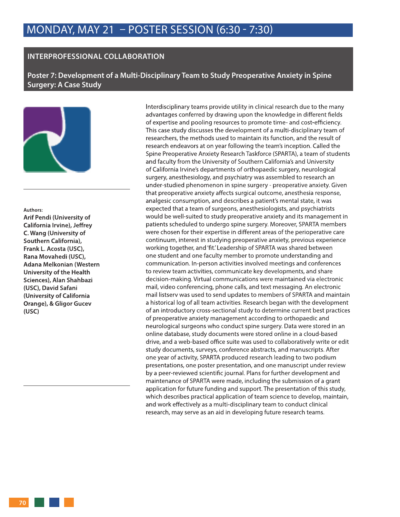### **INTERPROFESSIONAL COLLABORATION**

**Poster 7: Development of a Multi-Disciplinary Team to Study Preoperative Anxiety in Spine Surgery: A Case Study**



**Authors: Arif Pendi (University of California Irvine), Jeffrey** 

**C. Wang (University of Southern California), Frank L. Acosta (USC), Rana Movahedi (USC), Adana Melkonian (Western University of the Health Sciences), Alan Shahbazi (USC), David Safani (University of California Orange), & Gligor Gucev (USC)**

Interdisciplinary teams provide utility in clinical research due to the many advantages conferred by drawing upon the knowledge in different fields of expertise and pooling resources to promote time- and cost-efficiency. This case study discusses the development of a multi-disciplinary team of researchers, the methods used to maintain its function, and the result of research endeavors at on year following the team's inception. Called the Spine Preoperative Anxiety Research Taskforce (SPARTA), a team of students and faculty from the University of Southern California's and University of California Irvine's departments of orthopaedic surgery, neurological surgery, anesthesiology, and psychiatry was assembled to research an under-studied phenomenon in spine surgery - preoperative anxiety. Given that preoperative anxiety affects surgical outcome, anesthesia response, analgesic consumption, and describes a patient's mental state, it was expected that a team of surgeons, anesthesiologists, and psychiatrists would be well-suited to study preoperative anxiety and its management in patients scheduled to undergo spine surgery. Moreover, SPARTA members were chosen for their expertise in different areas of the perioperative care continuum, interest in studying preoperative anxiety, previous experience working together, and 'fit.' Leadership of SPARTA was shared between one student and one faculty member to promote understanding and communication. In-person activities involved meetings and conferences to review team activities, communicate key developments, and share decision-making. Virtual communications were maintained via electronic mail, video conferencing, phone calls, and text messaging. An electronic mail listserv was used to send updates to members of SPARTA and maintain a historical log of all team activities. Research began with the development of an introductory cross-sectional study to determine current best practices of preoperative anxiety management according to orthopaedic and neurological surgeons who conduct spine surgery. Data were stored in an online database, study documents were stored online in a cloud-based drive, and a web-based office suite was used to collaboratively write or edit study documents, surveys, conference abstracts, and manuscripts. After one year of activity, SPARTA produced research leading to two podium presentations, one poster presentation, and one manuscript under review by a peer-reviewed scientific journal. Plans for further development and maintenance of SPARTA were made, including the submission of a grant application for future funding and support. The presentation of this study, which describes practical application of team science to develop, maintain, and work effectively as a multi-disciplinary team to conduct clinical research, may serve as an aid in developing future research teams.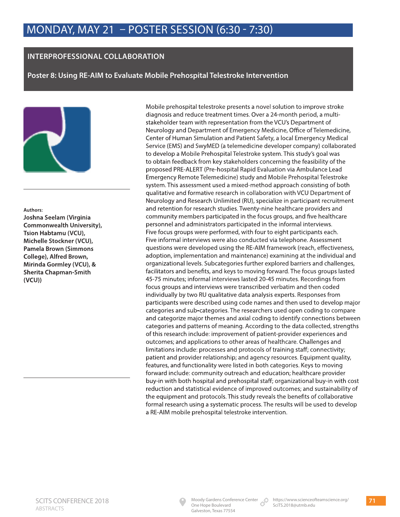## **INTERPROFESSIONAL COLLABORATION**

**Poster 8: Using RE-AIM to Evaluate Mobile Prehospital Telestroke Intervention**



**Authors: Joshna Seelam (Virginia Commonwealth University), Tsion Habtamu (VCU), Michelle Stockner (VCU), Pamela Brown (Simmons College), Alfred Brown, Mirinda Gormley (VCU), & Sherita Chapman-Smith (VCU))**

Mobile prehospital telestroke presents a novel solution to improve stroke diagnosis and reduce treatment times. Over a 24-month period, a multistakeholder team with representation from the VCU's Department of Neurology and Department of Emergency Medicine, Office of Telemedicine, Center of Human Simulation and Patient Safety, a local Emergency Medical Service (EMS) and SwyMED (a telemedicine developer company) collaborated to develop a Mobile Prehospital Telestroke system. This study's goal was to obtain feedback from key stakeholders concerning the feasibility of the proposed PRE-ALERT (Pre-hospital Rapid Evaluation via Ambulance Lead Emergency Remote Telemedicine) study and Mobile Prehospital Telestroke system. This assessment used a mixed-method approach consisting of both qualitative and formative research in collaboration with VCU Department of Neurology and Research Unlimited (RU), specialize in participant recruitment and retention for research studies. Twenty-nine healthcare providers and community members participated in the focus groups, and five healthcare personnel and administrators participated in the informal interviews. Five focus groups were performed, with four to eight participants each. Five informal interviews were also conducted via telephone. Assessment questions were developed using the RE-AIM framework (reach, effectiveness, adoption, implementation and maintenance) examining at the individual and organizational levels. Subcategories further explored barriers and challenges, facilitators and benefits, and keys to moving forward. The focus groups lasted 45-75 minutes; informal interviews lasted 20-45 minutes. Recordings from focus groups and interviews were transcribed verbatim and then coded individually by two RU qualitative data analysis experts. Responses from participants were described using code names and then used to develop major categories and sub-categories. The researchers used open coding to compare and categorize major themes and axial coding to identify connections between categories and patterns of meaning. According to the data collected, strengths of this research include: improvement of patient-provider experiences and outcomes; and applications to other areas of healthcare. Challenges and limitations include: processes and protocols of training staff; connectivity; patient and provider relationship; and agency resources. Equipment quality, features, and functionality were listed in both categories. Keys to moving forward include: community outreach and education; healthcare provider buy-in with both hospital and prehospital staff; organizational buy-in with cost reduction and statistical evidence of improved outcomes; and sustainability of the equipment and protocols. This study reveals the benefits of collaborative formal research using a systematic process. The results will be used to develop a RE-AIM mobile prehospital telestroke intervention.

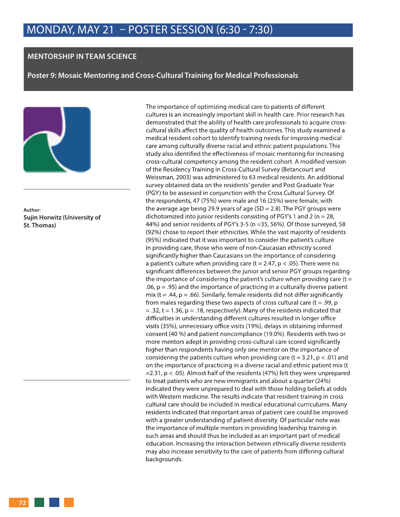### **MENTORSHIP IN TEAM SCIENCE**

**Poster 9: Mosaic Mentoring and Cross-Cultural Training for Medical Professionals**



**Author: Sujin Horwitz (University of St. Thomas)**

The importance of optimizing medical care to patients of different cultures is an increasingly important skill in health care. Prior research has demonstrated that the ability of health care professionals to acquire crosscultural skills affect the quality of health outcomes. This study examined a medical resident cohort to identify training needs for improving medical care among culturally diverse racial and ethnic patient populations. This study also identified the effectiveness of mosaic mentoring for increasing cross-cultural competency among the resident cohort. A modified version of the Residency Training in Cross-Cultural Survey (Betancourt and Weissman, 2003) was administered to 63 medical residents. An additional survey obtained data on the residents' gender and Post Graduate Year (PGY) to be assessed in conjunction with the Cross Cultural Survey. Of the respondents, 47 (75%) were male and 16 (25%) were female, with the average age being 29.9 years of age (SD = 2.8). The PGY groups were dichotomized into junior residents consisting of PGY's 1 and 2 ( $n = 28$ , 44%) and senior residents of PGY's 3-5 (n =35, 56%). Of those surveyed, 58 (92%) chose to report their ethnicities. While the vast majority of residents (95%) indicated that it was important to consider the patient's culture in providing care, those who were of non-Caucasian ethnicity scored significantly higher than Caucasians on the importance of considering a patient's culture when providing care  $(t = 2.47, p < .05)$ . There were no significant differences between the junior and senior PGY groups regarding the importance of considering the patient's culture when providing care  $(t =$ .06,  $p = .95$ ) and the importance of practicing in a culturally diverse patient mix ( $t = .44$ ,  $p = .66$ ). Similarly, female residents did not differ significantly from males regarding these two aspects of cross cultural care ( $t = .99$ ,  $p$  $=$  .32, t = 1.36, p = .18, respectively). Many of the residents indicated that difficulties in understanding different cultures resulted in longer office visits (35%), unnecessary office visits (19%), delays in obtaining informed consent (40 %) and patient noncompliance (19.0%). Residents with two or more mentors adept in providing cross-cultural care scored significantly higher than respondents having only one mentor on the importance of considering the patients culture when providing care (t =  $3.21$ , p < .01) and on the importance of practicing in a diverse racial and ethnic patient mix (t =2.31, p < .05). Almost half of the residents (47%) felt they were unprepared to treat patients who are new immigrants and about a quarter (24%) indicated they were unprepared to deal with those holding beliefs at odds with Western medicine. The results indicate that resident training in cross cultural care should be included in medical educational curriculums. Many residents indicated that important areas of patient care could be improved with a greater understanding of patient diversity. Of particular note was the importance of multiple mentors in providing leadership training in such areas and should thus be included as an important part of medical education. Increasing the interaction between ethnically diverse residents may also increase sensitivity to the care of patients from differing cultural backgrounds.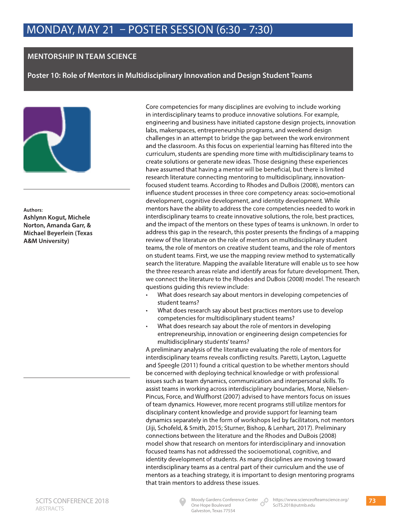### **MENTORSHIP IN TEAM SCIENCE**

**Poster 10: Role of Mentors in Multidisciplinary Innovation and Design Student Teams**



**Authors: Ashlynn Kogut, Michele Norton, Amanda Garr, & Michael Beyerlein (Texas A&M University)**

Core competencies for many disciplines are evolving to include working in interdisciplinary teams to produce innovative solutions. For example, engineering and business have initiated capstone design projects, innovation labs, makerspaces, entrepreneurship programs, and weekend design challenges in an attempt to bridge the gap between the work environment and the classroom. As this focus on experiential learning has filtered into the curriculum, students are spending more time with multidisciplinary teams to create solutions or generate new ideas. Those designing these experiences have assumed that having a mentor will be beneficial, but there is limited research literature connecting mentoring to multidisciplinary, innovationfocused student teams. According to Rhodes and DuBois (2008), mentors can influence student processes in three core competency areas: socio-emotional development, cognitive development, and identity development. While mentors have the ability to address the core competencies needed to work in interdisciplinary teams to create innovative solutions, the role, best practices, and the impact of the mentors on these types of teams is unknown. In order to address this gap in the research, this poster presents the findings of a mapping review of the literature on the role of mentors on multidisciplinary student teams, the role of mentors on creative student teams, and the role of mentors on student teams. First, we use the mapping review method to systematically search the literature. Mapping the available literature will enable us to see how the three research areas relate and identify areas for future development. Then, we connect the literature to the Rhodes and DuBois (2008) model. The research questions guiding this review include:

- What does research say about mentors in developing competencies of student teams?
- What does research say about best practices mentors use to develop competencies for multidisciplinary student teams?
- What does research say about the role of mentors in developing entrepreneurship, innovation or engineering design competencies for multidisciplinary students' teams?

A preliminary analysis of the literature evaluating the role of mentors for interdisciplinary teams reveals conflicting results. Paretti, Layton, Laguette and Speegle (2011) found a critical question to be whether mentors should be concerned with deploying technical knowledge or with professional issues such as team dynamics, communication and interpersonal skills. To assist teams in working across interdisciplinary boundaries, Morse, Nielsen-Pincus, Force, and Wulfhorst (2007) advised to have mentors focus on issues of team dynamics. However, more recent programs still utilize mentors for disciplinary content knowledge and provide support for learning team dynamics separately in the form of workshops led by facilitators, not mentors (Jiji, Schofeld, & Smith, 2015; Sturner, Bishop, & Lenhart, 2017). Preliminary connections between the literature and the Rhodes and DuBois (2008) model show that research on mentors for interdisciplinary and innovation focused teams has not addressed the socioemotional, cognitive, and identity development of students. As many disciplines are moving toward interdisciplinary teams as a central part of their curriculum and the use of mentors as a teaching strategy, it is important to design mentoring programs that train mentors to address these issues.



One Hope Boulevard Galveston, Texas 77554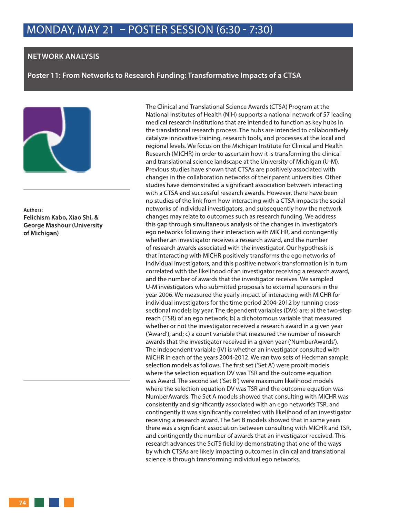#### **NETWORK ANALYSIS**

**Poster 11: From Networks to Research Funding: Transformative Impacts of a CTSA**



**Authors: Felichism Kabo, Xiao Shi, & George Mashour (University of Michigan)**

The Clinical and Translational Science Awards (CTSA) Program at the National Institutes of Health (NIH) supports a national network of 57 leading medical research institutions that are intended to function as key hubs in the translational research process. The hubs are intended to collaboratively catalyze innovative training, research tools, and processes at the local and regional levels. We focus on the Michigan Institute for Clinical and Health Research (MICHR) in order to ascertain how it is transforming the clinical and translational science landscape at the University of Michigan (U-M). Previous studies have shown that CTSAs are positively associated with changes in the collaboration networks of their parent universities. Other studies have demonstrated a significant association between interacting with a CTSA and successful research awards. However, there have been no studies of the link from how interacting with a CTSA impacts the social networks of individual investigators, and subsequently how the network changes may relate to outcomes such as research funding. We address this gap through simultaneous analysis of the changes in investigator's ego networks following their interaction with MICHR, and contingently whether an investigator receives a research award, and the number of research awards associated with the investigator. Our hypothesis is that interacting with MICHR positively transforms the ego networks of individual investigators, and this positive network transformation is in turn correlated with the likelihood of an investigator receiving a research award, and the number of awards that the investigator receives. We sampled U-M investigators who submitted proposals to external sponsors in the year 2006. We measured the yearly impact of interacting with MICHR for individual investigators for the time period 2004-2012 by running crosssectional models by year. The dependent variables (DVs) are: a) the two-step reach (TSR) of an ego network; b) a dichotomous variable that measured whether or not the investigator received a research award in a given year ('Award'), and; c) a count variable that measured the number of research awards that the investigator received in a given year ('NumberAwards'). The independent variable (IV) is whether an investigator consulted with MICHR in each of the years 2004-2012. We ran two sets of Heckman sample selection models as follows. The first set ('Set A') were probit models where the selection equation DV was TSR and the outcome equation was Award. The second set ('Set B') were maximum likelihood models where the selection equation DV was TSR and the outcome equation was NumberAwards. The Set A models showed that consulting with MICHR was consistently and significantly associated with an ego network's TSR, and contingently it was significantly correlated with likelihood of an investigator receiving a research award. The Set B models showed that in some years there was a significant association between consulting with MICHR and TSR, and contingently the number of awards that an investigator received. This research advances the SciTS field by demonstrating that one of the ways by which CTSAs are likely impacting outcomes in clinical and translational science is through transforming individual ego networks.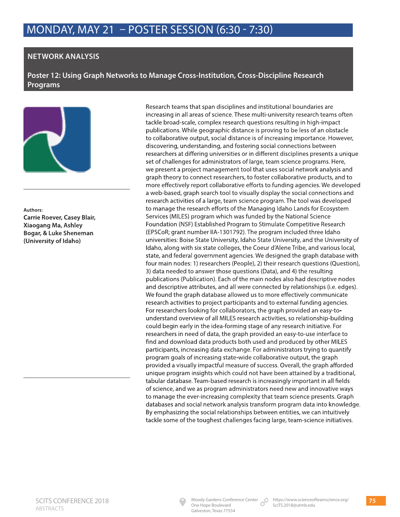### **NETWORK ANALYSIS**

**Poster 12: Using Graph Networks to Manage Cross-Institution, Cross-Discipline Research Programs**



**Authors: Carrie Roever, Casey Blair, Xiaogang Ma, Ashley Bogar, & Luke Sheneman (University of Idaho)**

Research teams that span disciplines and institutional boundaries are increasing in all areas of science. These multi-university research teams often tackle broad-scale, complex research questions resulting in high-impact publications. While geographic distance is proving to be less of an obstacle to collaborative output, social distance is of increasing importance. However, discovering, understanding, and fostering social connections between researchers at differing universities or in different disciplines presents a unique set of challenges for administrators of large, team science programs. Here, we present a project management tool that uses social network analysis and graph theory to connect researchers, to foster collaborative products, and to more effectively report collaborative efforts to funding agencies. We developed a web-based, graph search tool to visually display the social connections and research activities of a large, team science program. The tool was developed to manage the research efforts of the Managing Idaho Lands for Ecosystem Services (MILES) program which was funded by the National Science Foundation (NSF) Established Program to Stimulate Competitive Research (EPSCoR; grant number IIA-1301792). The program included three Idaho universities: Boise State University, Idaho State University, and the University of Idaho, along with six state colleges, the Coeur d'Alene Tribe, and various local, state, and federal government agencies. We designed the graph database with four main nodes: 1) researchers (People), 2) their research questions (Question), 3) data needed to answer those questions (Data), and 4) the resulting publications (Publication). Each of the main nodes also had descriptive nodes and descriptive attributes, and all were connected by relationships (i.e. edges). We found the graph database allowed us to more effectively communicate research activities to project participants and to external funding agencies. For researchers looking for collaborators, the graph provided an easy-tounderstand overview of all MILES research activities, so relationship-building could begin early in the idea-forming stage of any research initiative. For researchers in need of data, the graph provided an easy-to-use interface to find and download data products both used and produced by other MILES participants, increasing data exchange. For administrators trying to quantify program goals of increasing state-wide collaborative output, the graph provided a visually impactful measure of success. Overall, the graph afforded unique program insights which could not have been attained by a traditional, tabular database. Team-based research is increasingly important in all fields of science, and we as program administrators need new and innovative ways to manage the ever-increasing complexity that team science presents. Graph databases and social network analysis transform program data into knowledge. By emphasizing the social relationships between entities, we can intuitively tackle some of the toughest challenges facing large, team-science initiatives.

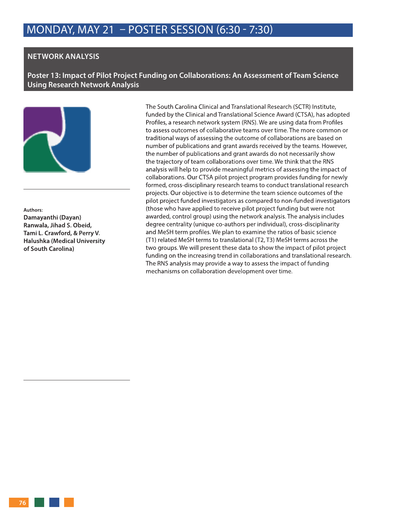#### **NETWORK ANALYSIS**

**Poster 13: Impact of Pilot Project Funding on Collaborations: An Assessment of Team Science Using Research Network Analysis**



**Authors: Damayanthi (Dayan) Ranwala, Jihad S. Obeid, Tami L. Crawford, & Perry V. Halushka (Medical University of South Carolina)**

The South Carolina Clinical and Translational Research (SCTR) Institute, funded by the Clinical and Translational Science Award (CTSA), has adopted Profiles, a research network system (RNS). We are using data from Profiles to assess outcomes of collaborative teams over time. The more common or traditional ways of assessing the outcome of collaborations are based on number of publications and grant awards received by the teams. However, the number of publications and grant awards do not necessarily show the trajectory of team collaborations over time. We think that the RNS analysis will help to provide meaningful metrics of assessing the impact of collaborations. Our CTSA pilot project program provides funding for newly formed, cross-disciplinary research teams to conduct translational research projects. Our objective is to determine the team science outcomes of the pilot project funded investigators as compared to non-funded investigators (those who have applied to receive pilot project funding but were not awarded, control group) using the network analysis. The analysis includes degree centrality (unique co-authors per individual), cross-disciplinarity and MeSH term profiles. We plan to examine the ratios of basic science (T1) related MeSH terms to translational (T2, T3) MeSH terms across the two groups. We will present these data to show the impact of pilot project funding on the increasing trend in collaborations and translational research. The RNS analysis may provide a way to assess the impact of funding mechanisms on collaboration development over time.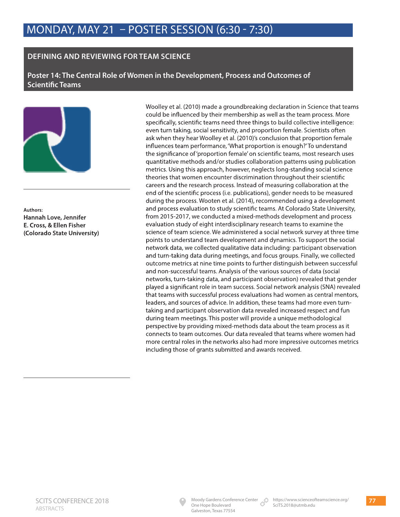### **DEFINING AND REVIEWING FOR TEAM SCIENCE**

**Poster 14: The Central Role of Women in the Development, Process and Outcomes of Scientific Teams**



**Authors: Hannah Love, Jennifer E. Cross, & Ellen Fisher (Colorado State University)** Woolley et al. (2010) made a groundbreaking declaration in Science that teams could be influenced by their membership as well as the team process. More specifically, scientific teams need three things to build collective intelligence: even turn taking, social sensitivity, and proportion female. Scientists often ask when they hear Woolley et al. (2010)'s conclusion that proportion female influences team performance, 'What proportion is enough?' To understand the significance of 'proportion female' on scientific teams, most research uses quantitative methods and/or studies collaboration patterns using publication metrics. Using this approach, however, neglects long-standing social science theories that women encounter discrimination throughout their scientific careers and the research process. Instead of measuring collaboration at the end of the scientific process (i.e. publications), gender needs to be measured during the process. Wooten et al. (2014), recommended using a development and process evaluation to study scientific teams. At Colorado State University, from 2015-2017, we conducted a mixed-methods development and process evaluation study of eight interdisciplinary research teams to examine the science of team science. We administered a social network survey at three time points to understand team development and dynamics. To support the social network data, we collected qualitative data including: participant observation and turn-taking data during meetings, and focus groups. Finally, we collected outcome metrics at nine time points to further distinguish between successful and non-successful teams. Analysis of the various sources of data (social networks, turn-taking data, and participant observation) revealed that gender played a significant role in team success. Social network analysis (SNA) revealed that teams with successful process evaluations had women as central mentors, leaders, and sources of advice. In addition, these teams had more even turntaking and participant observation data revealed increased respect and fun during team meetings. This poster will provide a unique methodological perspective by providing mixed-methods data about the team process as it connects to team outcomes. Our data revealed that teams where women had more central roles in the networks also had more impressive outcomes metrics including those of grants submitted and awards received.

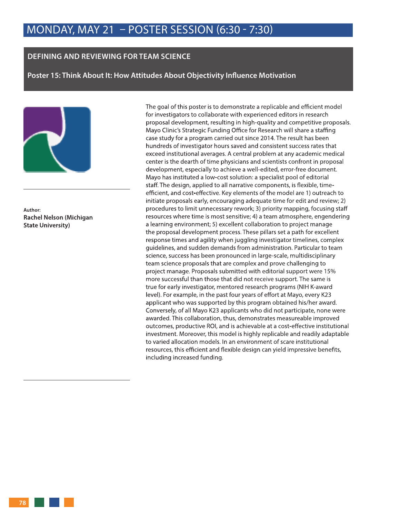#### **DEFINING AND REVIEWING FOR TEAM SCIENCE**

**Poster 15: Think About It: How Attitudes About Objectivity Influence Motivation**



**Author: Rachel Nelson (Michigan State University)**

The goal of this poster is to demonstrate a replicable and efficient model for investigators to collaborate with experienced editors in research proposal development, resulting in high-quality and competitive proposals. Mayo Clinic's Strategic Funding Office for Research will share a staffing case study for a program carried out since 2014. The result has been hundreds of investigator hours saved and consistent success rates that exceed institutional averages. A central problem at any academic medical center is the dearth of time physicians and scientists confront in proposal development, especially to achieve a well-edited, error-free document. Mayo has instituted a low-cost solution: a specialist pool of editorial staff. The design, applied to all narrative components, is flexible, timeefficient, and cost-effective. Key elements of the model are 1) outreach to initiate proposals early, encouraging adequate time for edit and review; 2) procedures to limit unnecessary rework; 3) priority mapping, focusing staff resources where time is most sensitive; 4) a team atmosphere, engendering a learning environment; 5) excellent collaboration to project manage the proposal development process. These pillars set a path for excellent response times and agility when juggling investigator timelines, complex guidelines, and sudden demands from administration. Particular to team science, success has been pronounced in large-scale, multidisciplinary team science proposals that are complex and prove challenging to project manage. Proposals submitted with editorial support were 15% more successful than those that did not receive support. The same is true for early investigator, mentored research programs (NIH K-award level). For example, in the past four years of effort at Mayo, every K23 applicant who was supported by this program obtained his/her award. Conversely, of all Mayo K23 applicants who did not participate, none were awarded. This collaboration, thus, demonstrates measureable improved outcomes, productive ROI, and is achievable at a cost-effective institutional investment. Moreover, this model is highly replicable and readily adaptable to varied allocation models. In an environment of scare institutional resources, this efficient and flexible design can yield impressive benefits, including increased funding.